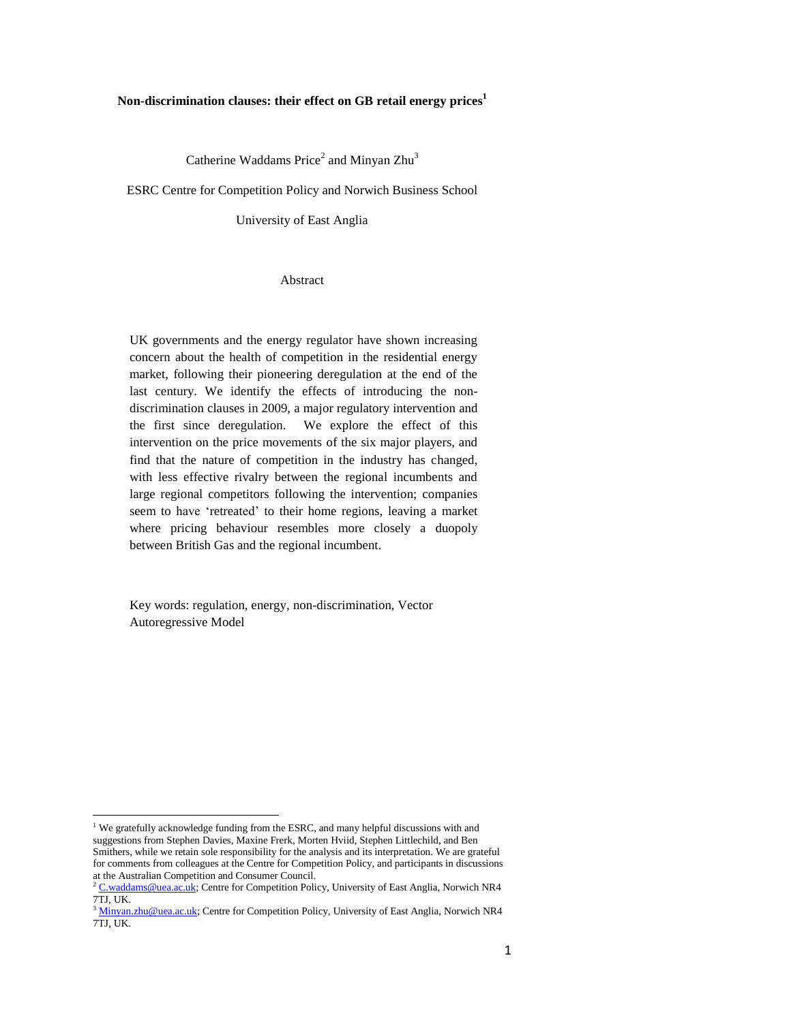## **Non-discrimination clauses: their effect on GB retail energy prices<sup>1</sup>**

Catherine Waddams Price<sup>2</sup> and Minyan  $Zhu^3$ 

ESRC Centre for Competition Policy and Norwich Business School

University of East Anglia

## Abstract

UK governments and the energy regulator have shown increasing concern about the health of competition in the residential energy market, following their pioneering deregulation at the end of the last century. We identify the effects of introducing the nondiscrimination clauses in 2009, a major regulatory intervention and the first since deregulation. We explore the effect of this intervention on the price movements of the six major players, and find that the nature of competition in the industry has changed, with less effective rivalry between the regional incumbents and large regional competitors following the intervention; companies seem to have 'retreated' to their home regions, leaving a market where pricing behaviour resembles more closely a duopoly between British Gas and the regional incumbent.

Key words: regulation, energy, non-discrimination, Vector Autoregressive Model

<sup>&</sup>lt;sup>1</sup> We gratefully acknowledge funding from the ESRC, and many helpful discussions with and suggestions from Stephen Davies, Maxine Frerk, Morten Hviid, Stephen Littlechild, and Ben Smithers, while we retain sole responsibility for the analysis and its interpretation. We are grateful for comments from colleagues at the Centre for Competition Policy, and participants in discussions at the Australian Competition and Consumer Council.

<sup>&</sup>lt;sup>2</sup> [C.waddams@uea.ac.uk;](mailto:C.waddams@uea.ac.uk) Centre for Competition Policy, University of East Anglia, Norwich NR4 7TJ, UK.

<sup>&</sup>lt;sup>3</sup> [Minyan.zhu@uea.ac.uk;](mailto:Minyan.zhu@uea.ac.uk) Centre for Competition Policy, University of East Anglia, Norwich NR4 7TJ, UK.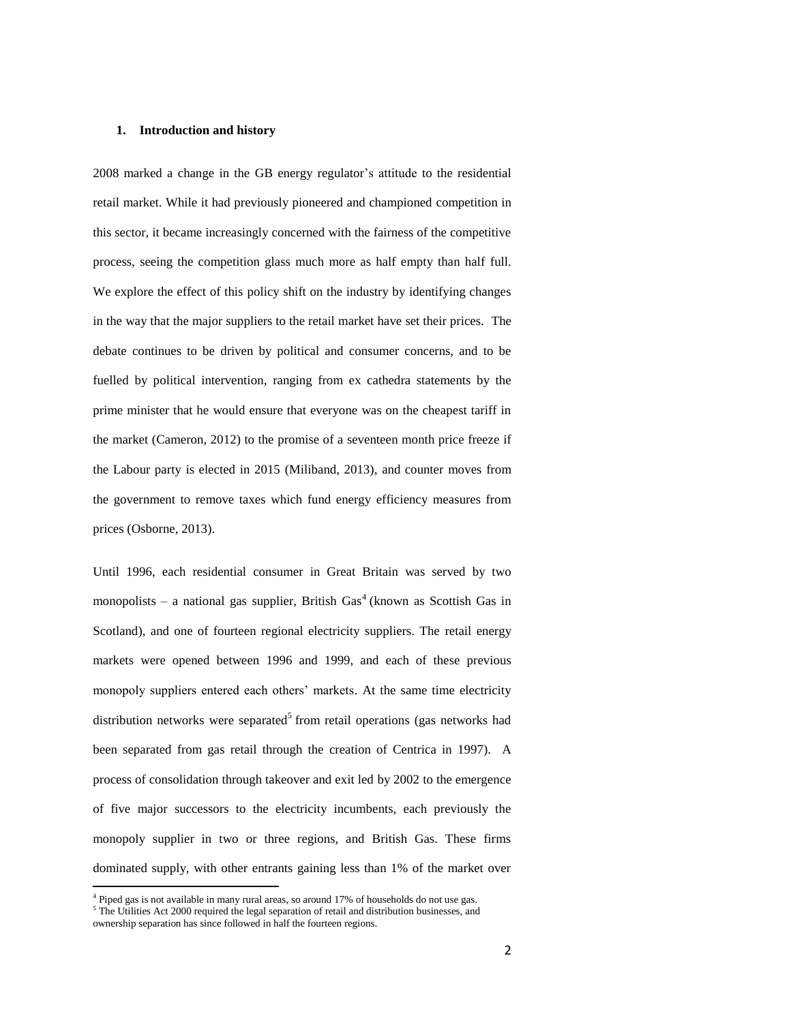#### **1. Introduction and history**

2008 marked a change in the GB energy regulator's attitude to the residential retail market. While it had previously pioneered and championed competition in this sector, it became increasingly concerned with the fairness of the competitive process, seeing the competition glass much more as half empty than half full. We explore the effect of this policy shift on the industry by identifying changes in the way that the major suppliers to the retail market have set their prices. The debate continues to be driven by political and consumer concerns, and to be fuelled by political intervention, ranging from ex cathedra statements by the prime minister that he would ensure that everyone was on the cheapest tariff in the market (Cameron, 2012) to the promise of a seventeen month price freeze if the Labour party is elected in 2015 (Miliband, 2013), and counter moves from the government to remove taxes which fund energy efficiency measures from prices (Osborne, 2013).

Until 1996, each residential consumer in Great Britain was served by two monopolists – a national gas supplier, British  $\text{Gas}^4$  (known as Scottish Gas in Scotland), and one of fourteen regional electricity suppliers. The retail energy markets were opened between 1996 and 1999, and each of these previous monopoly suppliers entered each others' markets. At the same time electricity distribution networks were separated<sup>5</sup> from retail operations (gas networks had been separated from gas retail through the creation of Centrica in 1997). A process of consolidation through takeover and exit led by 2002 to the emergence of five major successors to the electricity incumbents, each previously the monopoly supplier in two or three regions, and British Gas. These firms dominated supply, with other entrants gaining less than 1% of the market over

<sup>&</sup>lt;sup>4</sup> Piped gas is not available in many rural areas, so around 17% of households do not use gas.

<sup>&</sup>lt;sup>5</sup> The Utilities Act 2000 required the legal separation of retail and distribution businesses, and ownership separation has since followed in half the fourteen regions.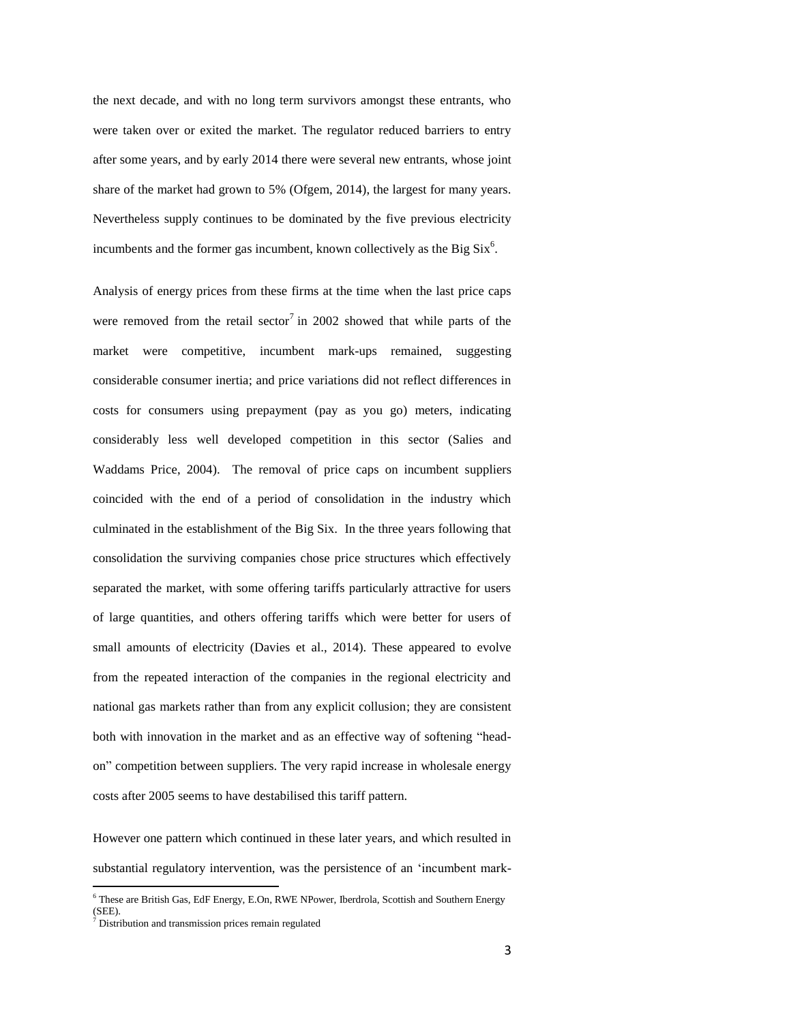the next decade, and with no long term survivors amongst these entrants, who were taken over or exited the market. The regulator reduced barriers to entry after some years, and by early 2014 there were several new entrants, whose joint share of the market had grown to 5% (Ofgem, 2014), the largest for many years. Nevertheless supply continues to be dominated by the five previous electricity incumbents and the former gas incumbent, known collectively as the Big  $\text{Six}^6$ .

Analysis of energy prices from these firms at the time when the last price caps were removed from the retail sector<sup>7</sup> in 2002 showed that while parts of the market were competitive, incumbent mark-ups remained, suggesting considerable consumer inertia; and price variations did not reflect differences in costs for consumers using prepayment (pay as you go) meters, indicating considerably less well developed competition in this sector (Salies and Waddams Price, 2004). The removal of price caps on incumbent suppliers coincided with the end of a period of consolidation in the industry which culminated in the establishment of the Big Six. In the three years following that consolidation the surviving companies chose price structures which effectively separated the market, with some offering tariffs particularly attractive for users of large quantities, and others offering tariffs which were better for users of small amounts of electricity (Davies et al., 2014). These appeared to evolve from the repeated interaction of the companies in the regional electricity and national gas markets rather than from any explicit collusion; they are consistent both with innovation in the market and as an effective way of softening "headon" competition between suppliers. The very rapid increase in wholesale energy costs after 2005 seems to have destabilised this tariff pattern.

However one pattern which continued in these later years, and which resulted in substantial regulatory intervention, was the persistence of an 'incumbent mark-

<sup>6</sup> These are British Gas, EdF Energy, E.On, RWE NPower, Iberdrola, Scottish and Southern Energy (SEE).

 $\frac{7}{7}$  Distribution and transmission prices remain regulated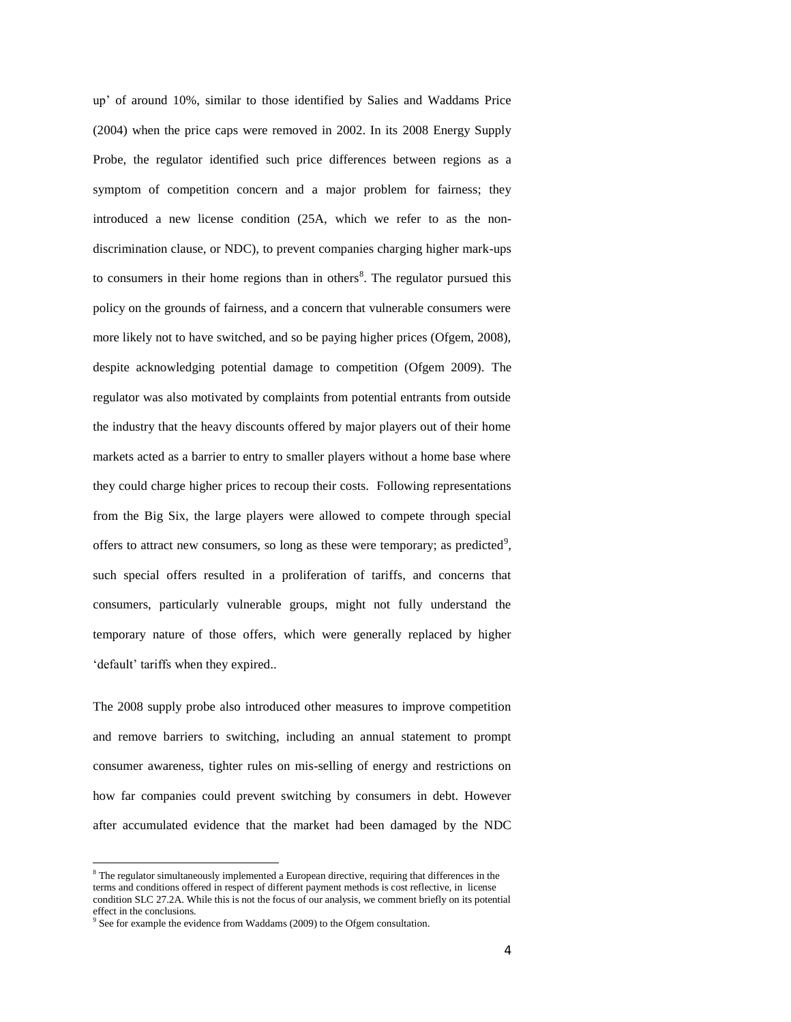up' of around 10%, similar to those identified by Salies and Waddams Price (2004) when the price caps were removed in 2002. In its 2008 Energy Supply Probe, the regulator identified such price differences between regions as a symptom of competition concern and a major problem for fairness; they introduced a new license condition (25A, which we refer to as the nondiscrimination clause, or NDC), to prevent companies charging higher mark-ups to consumers in their home regions than in others $\delta$ . The regulator pursued this policy on the grounds of fairness, and a concern that vulnerable consumers were more likely not to have switched, and so be paying higher prices (Ofgem, 2008), despite acknowledging potential damage to competition (Ofgem 2009). The regulator was also motivated by complaints from potential entrants from outside the industry that the heavy discounts offered by major players out of their home markets acted as a barrier to entry to smaller players without a home base where they could charge higher prices to recoup their costs. Following representations from the Big Six, the large players were allowed to compete through special offers to attract new consumers, so long as these were temporary; as predicted<sup>9</sup>, such special offers resulted in a proliferation of tariffs, and concerns that consumers, particularly vulnerable groups, might not fully understand the temporary nature of those offers, which were generally replaced by higher 'default' tariffs when they expired..

The 2008 supply probe also introduced other measures to improve competition and remove barriers to switching, including an annual statement to prompt consumer awareness, tighter rules on mis-selling of energy and restrictions on how far companies could prevent switching by consumers in debt. However after accumulated evidence that the market had been damaged by the NDC

<sup>&</sup>lt;sup>8</sup> The regulator simultaneously implemented a European directive, requiring that differences in the terms and conditions offered in respect of different payment methods is cost reflective, in license condition SLC 27.2A. While this is not the focus of our analysis, we comment briefly on its potential effect in the conclusions.

<sup>&</sup>lt;sup>9</sup> See for example the evidence from Waddams (2009) to the Ofgem consultation.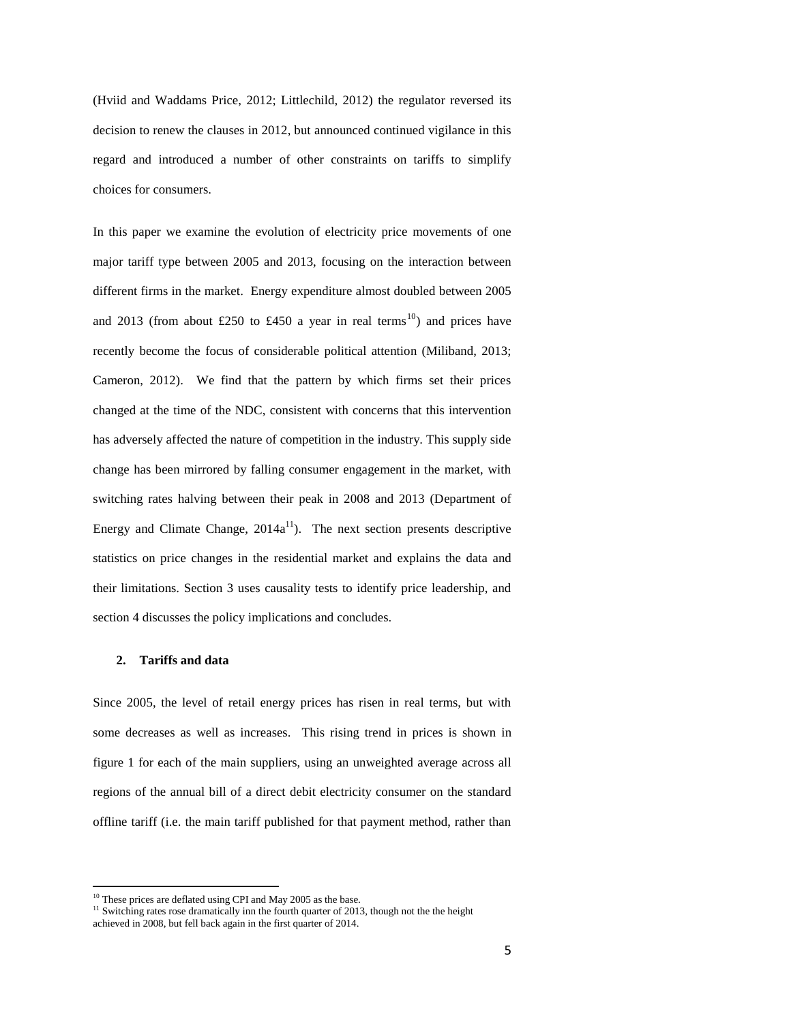(Hviid and Waddams Price, 2012; Littlechild, 2012) the regulator reversed its decision to renew the clauses in 2012, but announced continued vigilance in this regard and introduced a number of other constraints on tariffs to simplify choices for consumers.

In this paper we examine the evolution of electricity price movements of one major tariff type between 2005 and 2013, focusing on the interaction between different firms in the market. Energy expenditure almost doubled between 2005 and 2013 (from about £250 to £450 a year in real terms<sup>10</sup>) and prices have recently become the focus of considerable political attention (Miliband, 2013; Cameron, 2012). We find that the pattern by which firms set their prices changed at the time of the NDC, consistent with concerns that this intervention has adversely affected the nature of competition in the industry. This supply side change has been mirrored by falling consumer engagement in the market, with switching rates halving between their peak in 2008 and 2013 (Department of Energy and Climate Change,  $2014a^{11}$ ). The next section presents descriptive statistics on price changes in the residential market and explains the data and their limitations. Section 3 uses causality tests to identify price leadership, and section 4 discusses the policy implications and concludes.

## **2. Tariffs and data**

 $\overline{\phantom{a}}$ 

Since 2005, the level of retail energy prices has risen in real terms, but with some decreases as well as increases. This rising trend in prices is shown in figure 1 for each of the main suppliers, using an unweighted average across all regions of the annual bill of a direct debit electricity consumer on the standard offline tariff (i.e. the main tariff published for that payment method, rather than

<sup>&</sup>lt;sup>10</sup> These prices are deflated using CPI and May 2005 as the base.

<sup>&</sup>lt;sup>11</sup> Switching rates rose dramatically inn the fourth quarter of 2013, though not the the height achieved in 2008, but fell back again in the first quarter of 2014.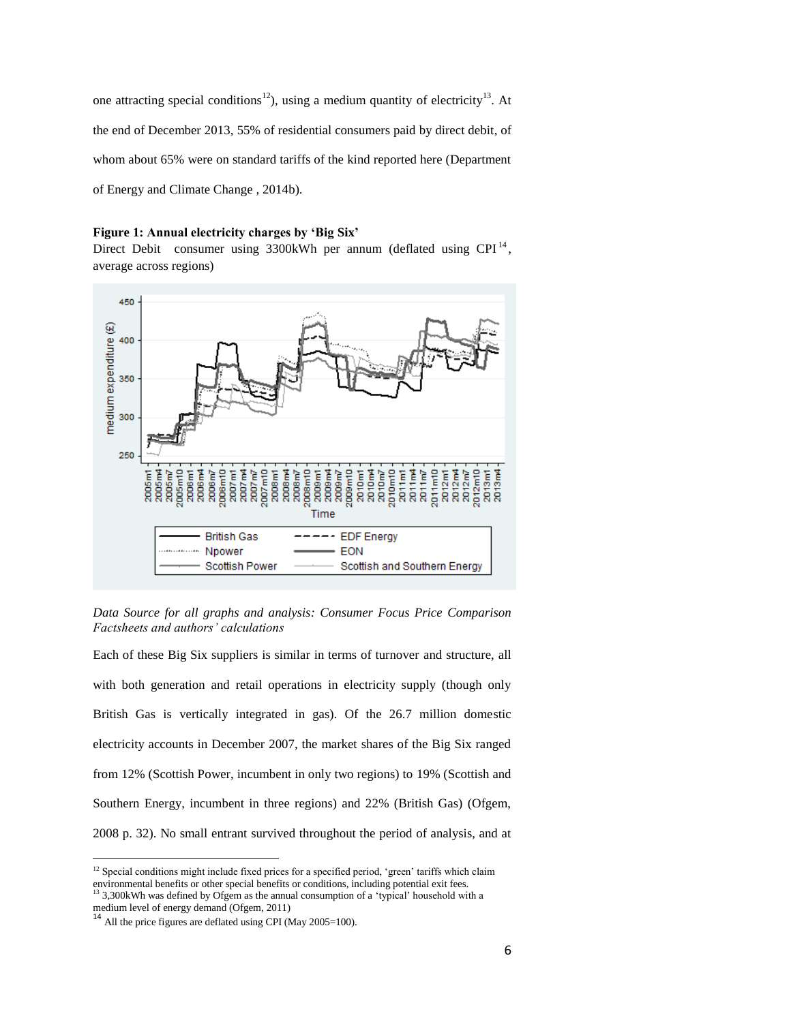one attracting special conditions<sup>12</sup>), using a medium quantity of electricity<sup>13</sup>. At the end of December 2013, 55% of residential consumers paid by direct debit, of whom about 65% were on standard tariffs of the kind reported here (Department of Energy and Climate Change , 2014b).

## **Figure 1: Annual electricity charges by 'Big Six'**

Direct Debit consumer using  $3300$ kWh per annum (deflated using CPI<sup>14</sup>, average across regions)



*Data Source for all graphs and analysis: Consumer Focus Price Comparison Factsheets and authors' calculations*

Each of these Big Six suppliers is similar in terms of turnover and structure, all with both generation and retail operations in electricity supply (though only British Gas is vertically integrated in gas). Of the 26.7 million domestic electricity accounts in December 2007, the market shares of the Big Six ranged from 12% (Scottish Power, incumbent in only two regions) to 19% (Scottish and Southern Energy, incumbent in three regions) and 22% (British Gas) (Ofgem, 2008 p. 32). No small entrant survived throughout the period of analysis, and at

 $\overline{\phantom{a}}$ <sup>12</sup> Special conditions might include fixed prices for a specified period, 'green' tariffs which claim environmental benefits or other special benefits or conditions, including potential exit fees.<br><sup>13</sup> 3 300<sup>1</sup>MA<sub>2</sub> was defined.<sup>1</sup> Of <sup>13</sup> 3,300kWh was defined by Ofgem as the annual consumption of a 'typical' household with a

medium level of energy demand (Ofgem, 2011) <sup>14</sup> All the price figures are deflated using CPI (May 2005=100).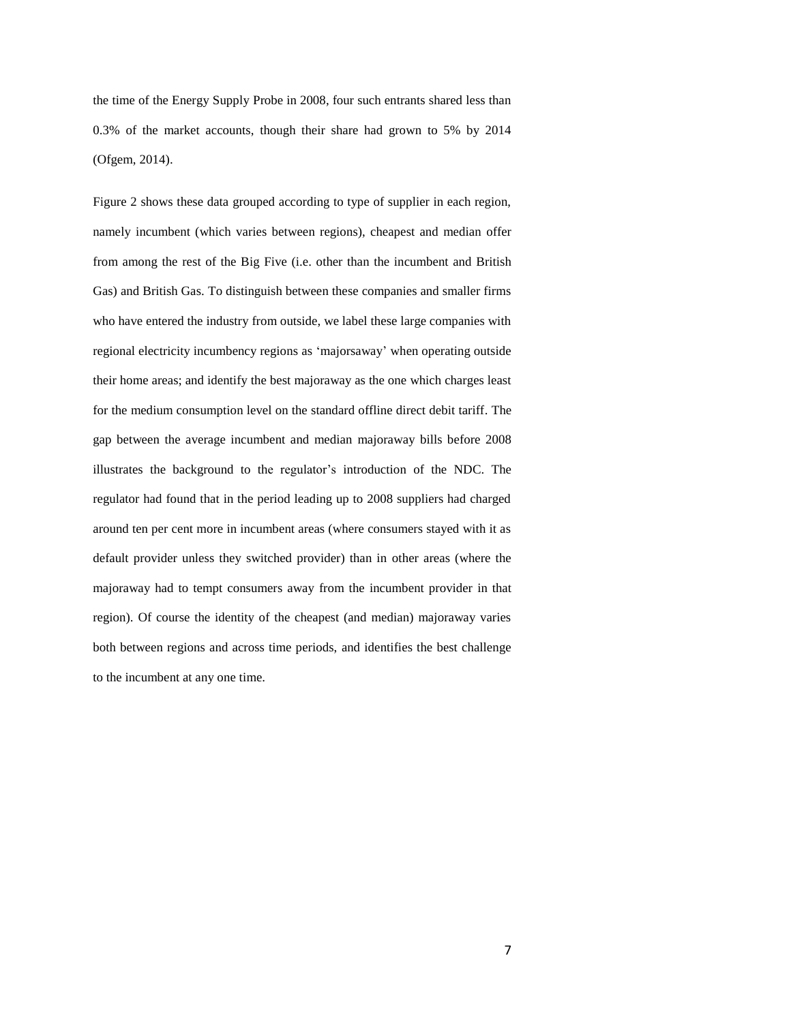the time of the Energy Supply Probe in 2008, four such entrants shared less than 0.3% of the market accounts, though their share had grown to 5% by 2014 (Ofgem, 2014).

Figure 2 shows these data grouped according to type of supplier in each region, namely incumbent (which varies between regions), cheapest and median offer from among the rest of the Big Five (i.e. other than the incumbent and British Gas) and British Gas. To distinguish between these companies and smaller firms who have entered the industry from outside, we label these large companies with regional electricity incumbency regions as 'majorsaway' when operating outside their home areas; and identify the best majoraway as the one which charges least for the medium consumption level on the standard offline direct debit tariff. The gap between the average incumbent and median majoraway bills before 2008 illustrates the background to the regulator's introduction of the NDC. The regulator had found that in the period leading up to 2008 suppliers had charged around ten per cent more in incumbent areas (where consumers stayed with it as default provider unless they switched provider) than in other areas (where the majoraway had to tempt consumers away from the incumbent provider in that region). Of course the identity of the cheapest (and median) majoraway varies both between regions and across time periods, and identifies the best challenge to the incumbent at any one time.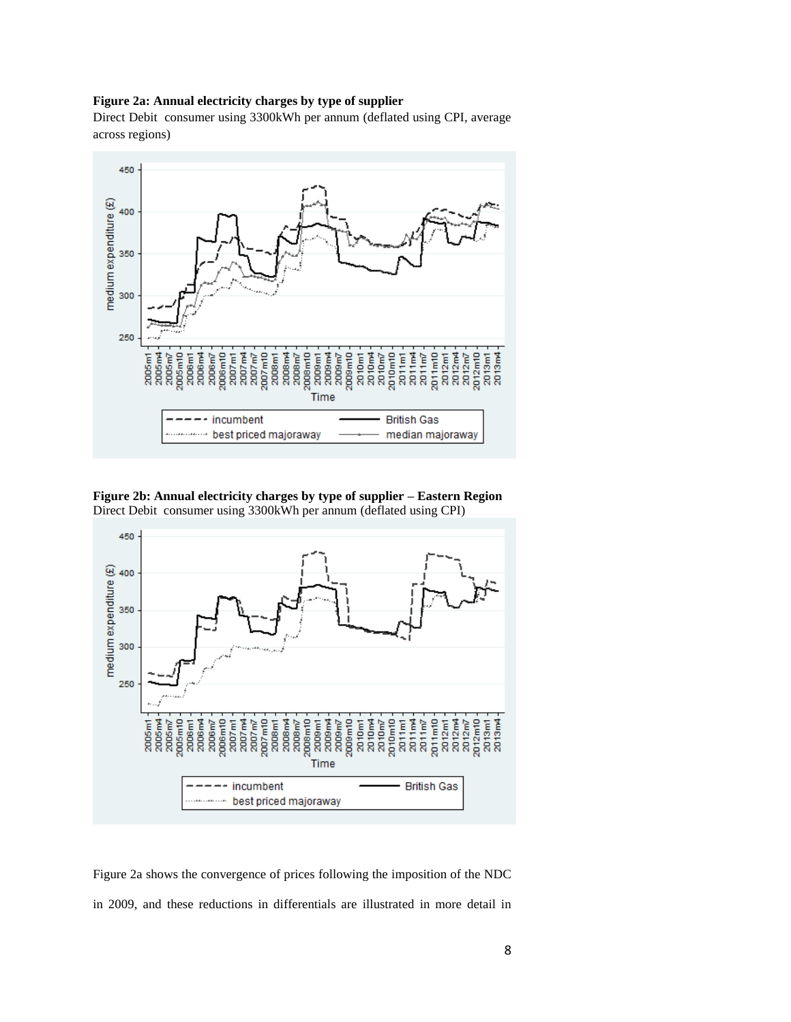## **Figure 2a: Annual electricity charges by type of supplier**

Direct Debit consumer using 3300kWh per annum (deflated using CPI, average across regions)



**Figure 2b: Annual electricity charges by type of supplier – Eastern Region** Direct Debit consumer using 3300kWh per annum (deflated using CPI)



Figure 2a shows the convergence of prices following the imposition of the NDC in 2009, and these reductions in differentials are illustrated in more detail in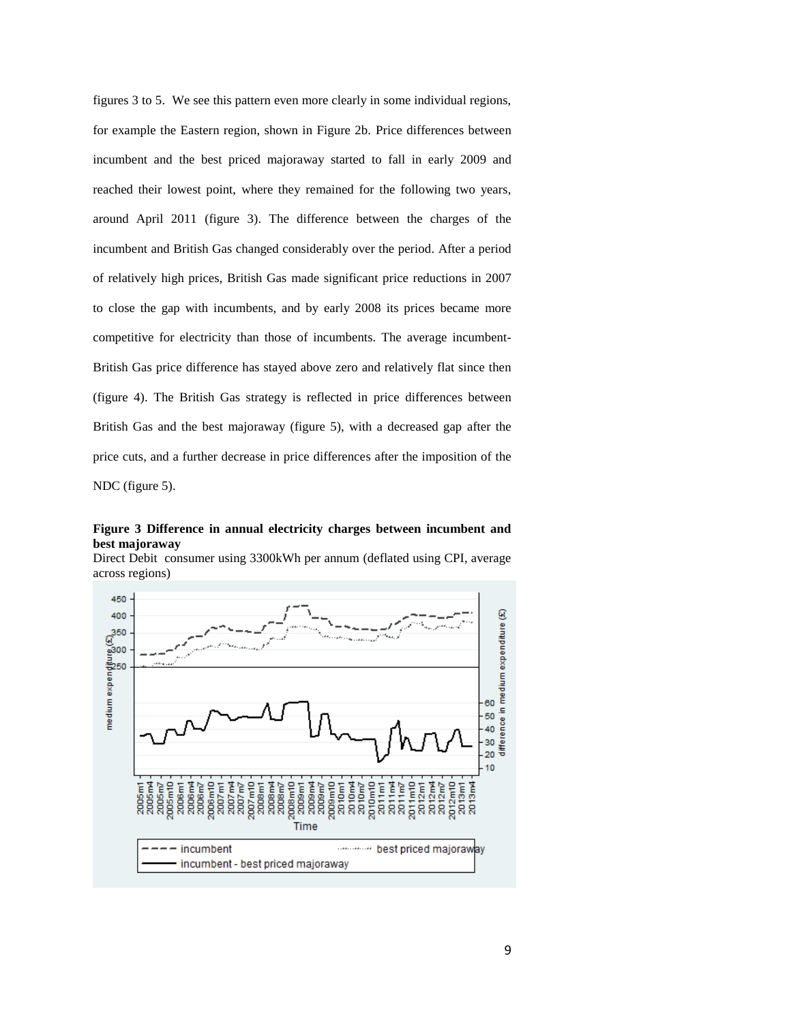figures 3 to 5. We see this pattern even more clearly in some individual regions, for example the Eastern region, shown in Figure 2b. Price differences between incumbent and the best priced majoraway started to fall in early 2009 and reached their lowest point, where they remained for the following two years, around April 2011 (figure 3). The difference between the charges of the incumbent and British Gas changed considerably over the period. After a period of relatively high prices, British Gas made significant price reductions in 2007 to close the gap with incumbents, and by early 2008 its prices became more competitive for electricity than those of incumbents. The average incumbent-British Gas price difference has stayed above zero and relatively flat since then (figure 4). The British Gas strategy is reflected in price differences between British Gas and the best majoraway (figure 5), with a decreased gap after the price cuts, and a further decrease in price differences after the imposition of the NDC (figure 5).

## **Figure 3 Difference in annual electricity charges between incumbent and best majoraway**



Direct Debit consumer using 3300kWh per annum (deflated using CPI, average across regions)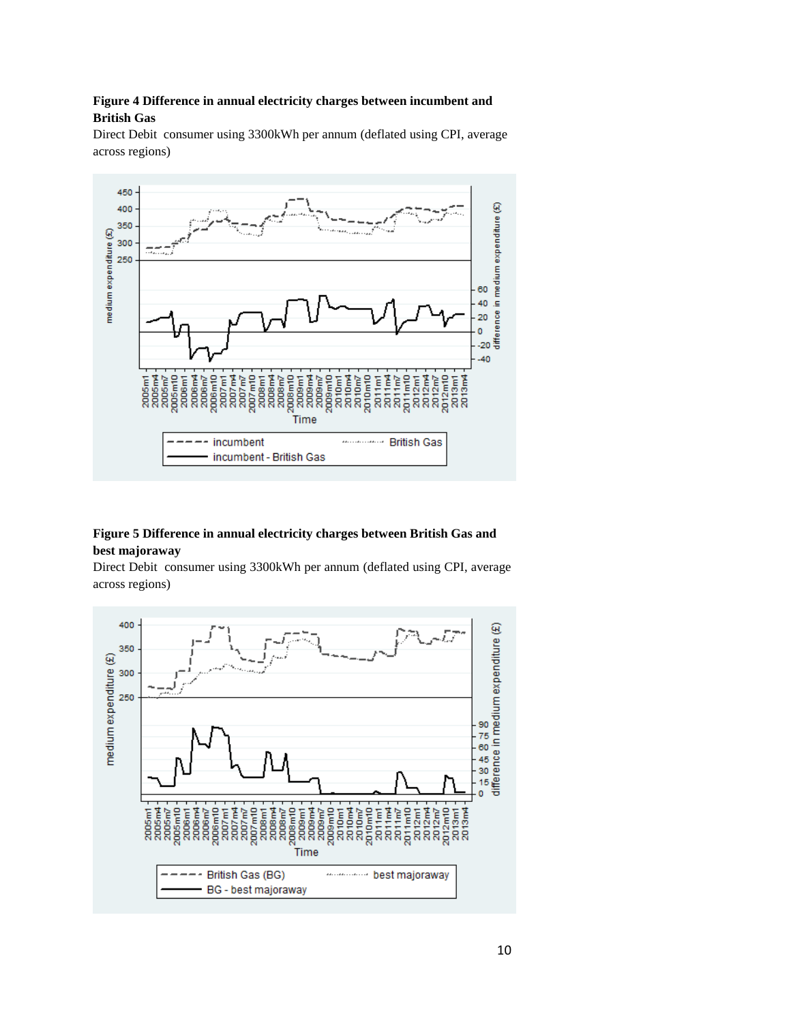## **Figure 4 Difference in annual electricity charges between incumbent and British Gas**

Direct Debit consumer using 3300kWh per annum (deflated using CPI, average across regions)



## **Figure 5 Difference in annual electricity charges between British Gas and best majoraway**

Direct Debit consumer using 3300kWh per annum (deflated using CPI, average across regions)

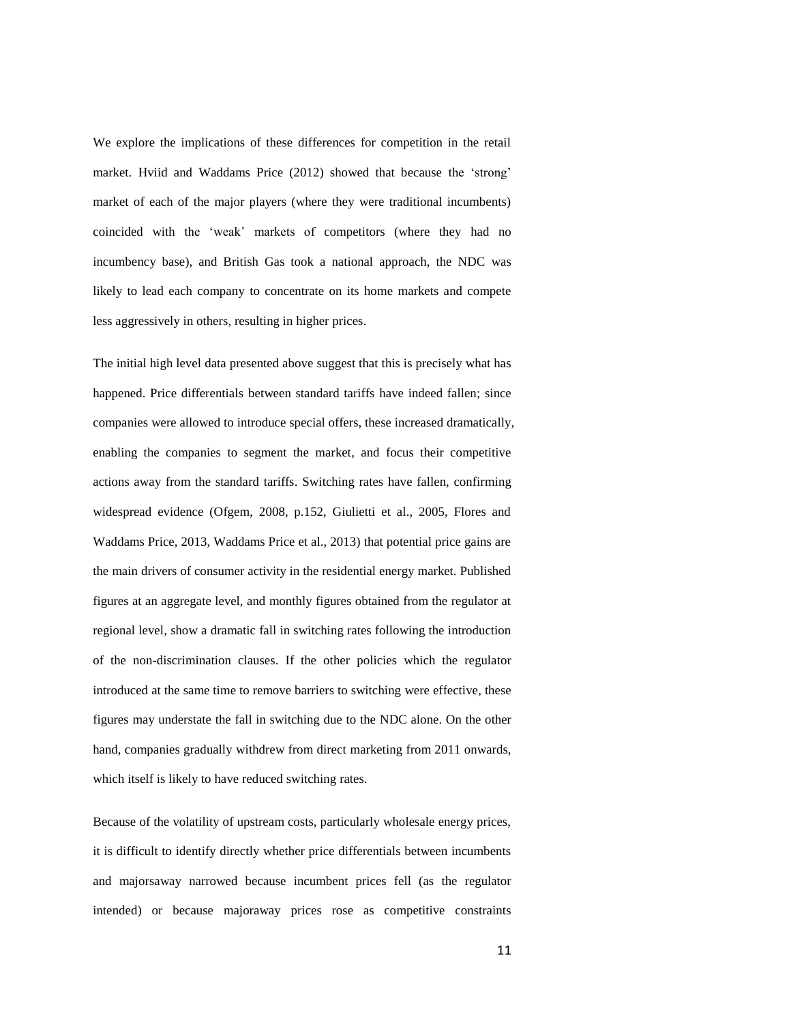We explore the implications of these differences for competition in the retail market. Hviid and Waddams Price (2012) showed that because the 'strong' market of each of the major players (where they were traditional incumbents) coincided with the 'weak' markets of competitors (where they had no incumbency base), and British Gas took a national approach, the NDC was likely to lead each company to concentrate on its home markets and compete less aggressively in others, resulting in higher prices.

The initial high level data presented above suggest that this is precisely what has happened. Price differentials between standard tariffs have indeed fallen; since companies were allowed to introduce special offers, these increased dramatically, enabling the companies to segment the market, and focus their competitive actions away from the standard tariffs. Switching rates have fallen, confirming widespread evidence (Ofgem, 2008, p.152, Giulietti et al., 2005, Flores and Waddams Price, 2013, Waddams Price et al., 2013) that potential price gains are the main drivers of consumer activity in the residential energy market. Published figures at an aggregate level, and monthly figures obtained from the regulator at regional level, show a dramatic fall in switching rates following the introduction of the non-discrimination clauses. If the other policies which the regulator introduced at the same time to remove barriers to switching were effective, these figures may understate the fall in switching due to the NDC alone. On the other hand, companies gradually withdrew from direct marketing from 2011 onwards, which itself is likely to have reduced switching rates.

Because of the volatility of upstream costs, particularly wholesale energy prices, it is difficult to identify directly whether price differentials between incumbents and majorsaway narrowed because incumbent prices fell (as the regulator intended) or because majoraway prices rose as competitive constraints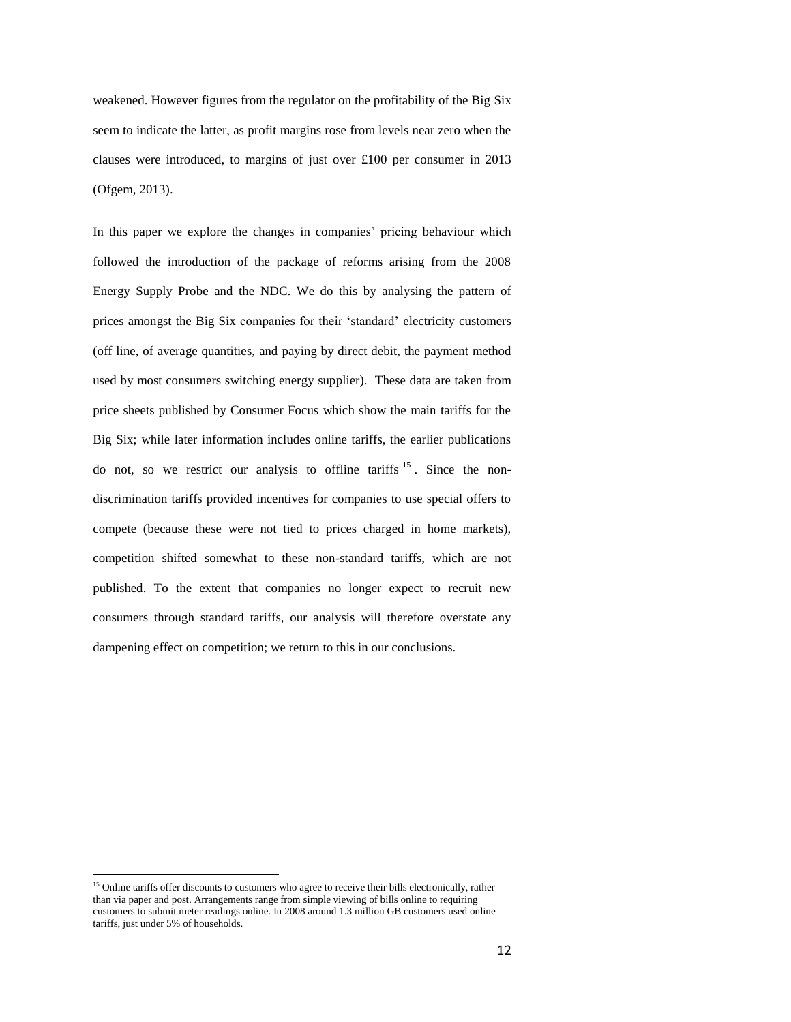weakened. However figures from the regulator on the profitability of the Big Six seem to indicate the latter, as profit margins rose from levels near zero when the clauses were introduced, to margins of just over £100 per consumer in 2013 (Ofgem, 2013).

In this paper we explore the changes in companies' pricing behaviour which followed the introduction of the package of reforms arising from the 2008 Energy Supply Probe and the NDC. We do this by analysing the pattern of prices amongst the Big Six companies for their 'standard' electricity customers (off line, of average quantities, and paying by direct debit, the payment method used by most consumers switching energy supplier). These data are taken from price sheets published by Consumer Focus which show the main tariffs for the Big Six; while later information includes online tariffs, the earlier publications do not, so we restrict our analysis to offline tariffs<sup>15</sup>. Since the nondiscrimination tariffs provided incentives for companies to use special offers to compete (because these were not tied to prices charged in home markets), competition shifted somewhat to these non-standard tariffs, which are not published. To the extent that companies no longer expect to recruit new consumers through standard tariffs, our analysis will therefore overstate any dampening effect on competition; we return to this in our conclusions.

 $\overline{a}$ 

<sup>&</sup>lt;sup>15</sup> Online tariffs offer discounts to customers who agree to receive their bills electronically, rather than via paper and post. Arrangements range from simple viewing of bills online to requiring customers to submit meter readings online. In 2008 around 1.3 million GB customers used online tariffs, just under 5% of households.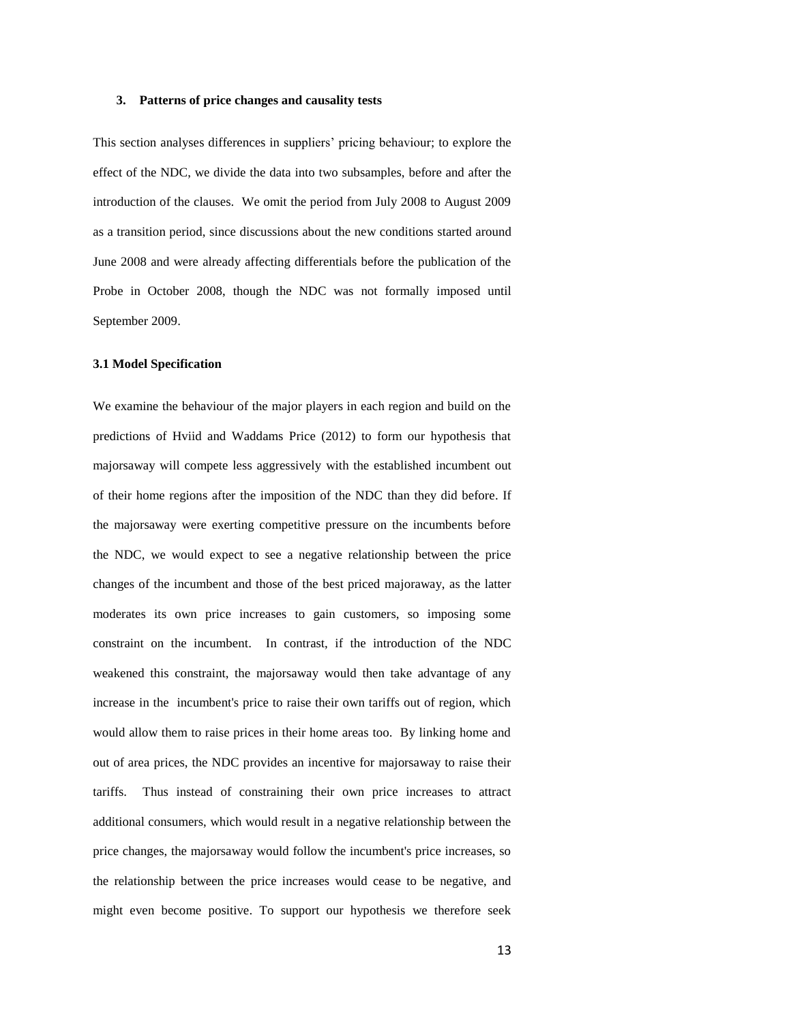#### **3. Patterns of price changes and causality tests**

This section analyses differences in suppliers' pricing behaviour; to explore the effect of the NDC, we divide the data into two subsamples, before and after the introduction of the clauses. We omit the period from July 2008 to August 2009 as a transition period, since discussions about the new conditions started around June 2008 and were already affecting differentials before the publication of the Probe in October 2008, though the NDC was not formally imposed until September 2009.

#### **3.1 Model Specification**

We examine the behaviour of the major players in each region and build on the predictions of Hviid and Waddams Price (2012) to form our hypothesis that majorsaway will compete less aggressively with the established incumbent out of their home regions after the imposition of the NDC than they did before. If the majorsaway were exerting competitive pressure on the incumbents before the NDC, we would expect to see a negative relationship between the price changes of the incumbent and those of the best priced majoraway, as the latter moderates its own price increases to gain customers, so imposing some constraint on the incumbent. In contrast, if the introduction of the NDC weakened this constraint, the majorsaway would then take advantage of any increase in the incumbent's price to raise their own tariffs out of region, which would allow them to raise prices in their home areas too. By linking home and out of area prices, the NDC provides an incentive for majorsaway to raise their tariffs. Thus instead of constraining their own price increases to attract additional consumers, which would result in a negative relationship between the price changes, the majorsaway would follow the incumbent's price increases, so the relationship between the price increases would cease to be negative, and might even become positive. To support our hypothesis we therefore seek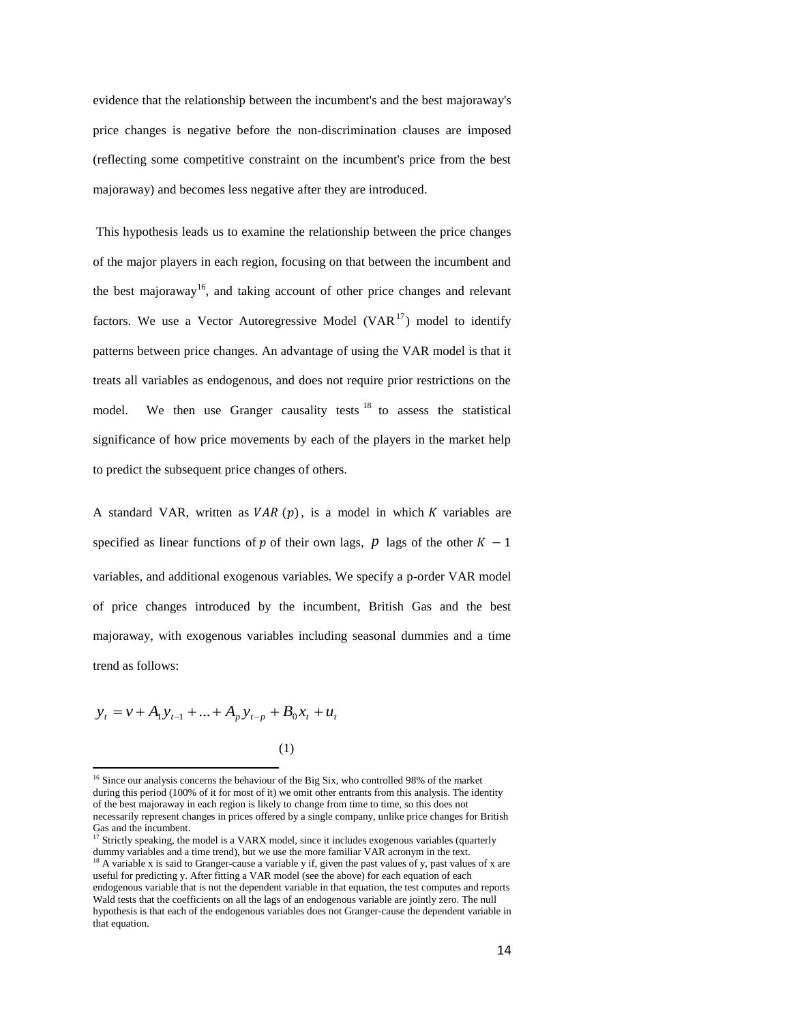evidence that the relationship between the incumbent's and the best majoraway's price changes is negative before the non-discrimination clauses are imposed (reflecting some competitive constraint on the incumbent's price from the best majoraway) and becomes less negative after they are introduced.

This hypothesis leads us to examine the relationship between the price changes of the major players in each region, focusing on that between the incumbent and the best majoraway<sup>16</sup>, and taking account of other price changes and relevant factors. We use a Vector Autoregressive Model (VAR $17$ ) model to identify patterns between price changes. An advantage of using the VAR model is that it treats all variables as endogenous, and does not require prior restrictions on the model. We then use Granger causality tests  $18$  to assess the statistical significance of how price movements by each of the players in the market help to predict the subsequent price changes of others.

A standard VAR, written as  $VAR(p)$ , is a model in which K variables are specified as linear functions of  $p$  of their own lags,  $p$  lags of the other variables, and additional exogenous variables. We specify a p-order VAR model of price changes introduced by the incumbent, British Gas and the best majoraway, with exogenous variables including seasonal dummies and a time trend as follows:

$$
y_{t} = v + A_{1}y_{t-1} + ... + A_{p}y_{t-p} + B_{0}x_{t} + u_{t}
$$

$$
\left( 1\right)
$$

<sup>&</sup>lt;sup>16</sup> Since our analysis concerns the behaviour of the Big Six, who controlled 98% of the market during this period (100% of it for most of it) we omit other entrants from this analysis. The identity of the best majoraway in each region is likely to change from time to time, so this does not necessarily represent changes in prices offered by a single company, unlike price changes for British Gas and the incumbent.

<sup>&</sup>lt;sup>17</sup> Strictly speaking, the model is a VARX model, since it includes exogenous variables (quarterly dummy variables and a time trend), but we use the more familiar VAR acronym in the text.

 $18$  A variable x is said to Granger-cause a variable y if, given the past values of y, past values of x are useful for predicting y. After fitting a VAR model (see the above) for each equation of each endogenous variable that is not the dependent variable in that equation, the test computes and reports Wald tests that the coefficients on all the lags of an endogenous variable are jointly zero. The null hypothesis is that each of the endogenous variables does not Granger-cause the dependent variable in that equation.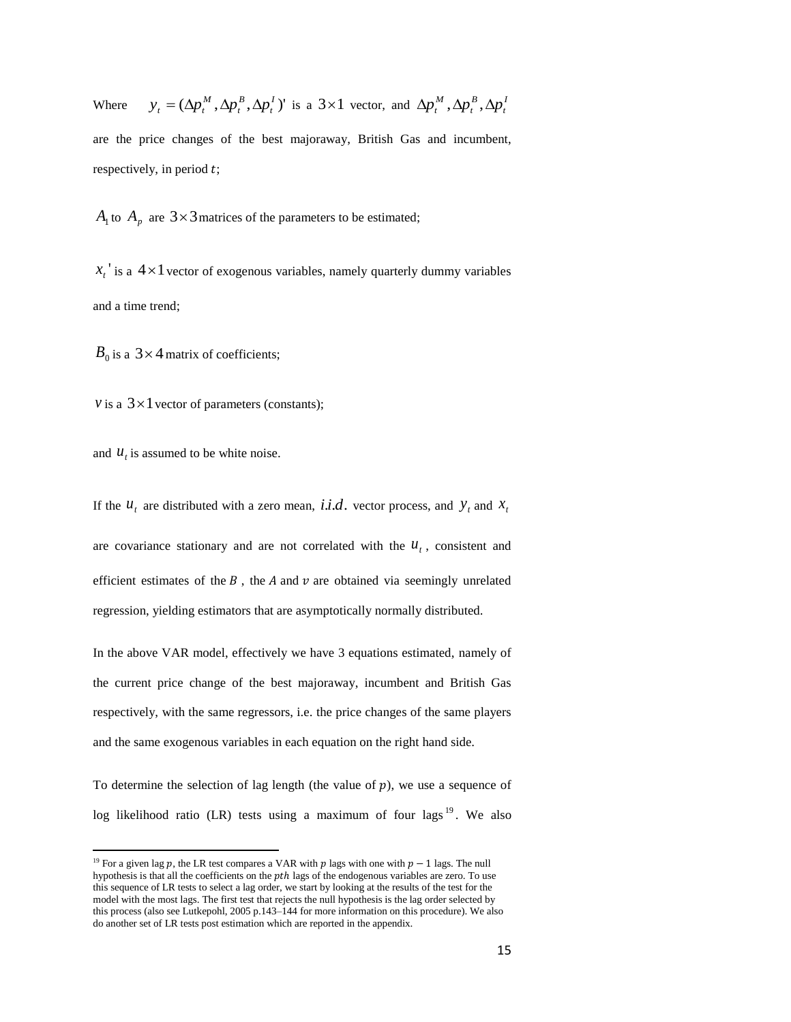Where  $(\Delta p_{t}^{M},\Delta p_{t}^{B},\Delta p_{t}^{I})'$ *B t*  $y_t = (\Delta p_t^M, \Delta p_t^B, \Delta p_t^I)$  is a 3×1 vector, and  $\Delta p_t^M, \Delta p_t^B, \Delta p_t^I$ *t B*  $3 \times 1$  vector, and  $\Delta p_t^M$ ,  $\Delta p_t^B$ ,  $\Delta p_t^B$ are the price changes of the best majoraway, British Gas and incumbent, respectively, in period  $t$ ;

 $A_1$  to  $A_p$  are  $3 \times 3$  matrices of the parameters to be estimated;

 $x_t$ <sup>'</sup> is a  $4 \times 1$  vector of exogenous variables, namely quarterly dummy variables and a time trend;

 $B_0$  is a  $3 \times 4$  matrix of coefficients;

 $v$  is a  $3 \times 1$  vector of parameters (constants);

and  $u_t$  is assumed to be white noise.

 $\overline{a}$ 

If the  $u_t$  are distributed with a zero mean, *i.i.d.* vector process, and  $y_t$  and  $x_t$ are covariance stationary and are not correlated with the  $u_t$ , consistent and efficient estimates of the  $B$ , the  $A$  and  $\nu$  are obtained via seemingly unrelated regression, yielding estimators that are asymptotically normally distributed.

In the above VAR model, effectively we have 3 equations estimated, namely of the current price change of the best majoraway, incumbent and British Gas respectively, with the same regressors, i.e. the price changes of the same players and the same exogenous variables in each equation on the right hand side.

To determine the selection of lag length (the value of  $p$ ), we use a sequence of log likelihood ratio (LR) tests using a maximum of four lags<sup>19</sup>. We also

<sup>&</sup>lt;sup>19</sup> For a given lag p, the LR test compares a VAR with p lags with one with  $p-1$  lags. The null hypothesis is that all the coefficients on the *pth* lags of the endogenous variables are zero. To use this sequence of LR tests to select a lag order, we start by looking at the results of the test for the model with the most lags. The first test that rejects the null hypothesis is the lag order selected by this process (also see Lutkepohl, 2005 p.143–144 for more information on this procedure). We also do another set of LR tests post estimation which are reported in the appendix.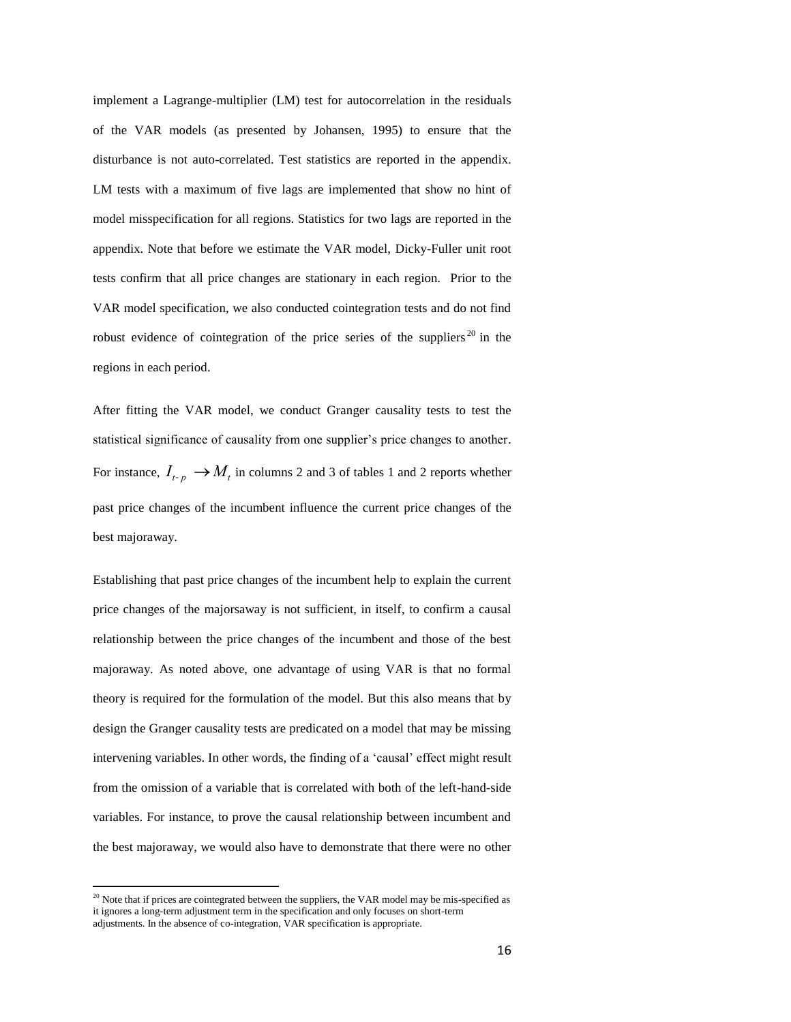implement a Lagrange-multiplier (LM) test for autocorrelation in the residuals of the VAR models (as presented by Johansen, 1995) to ensure that the disturbance is not auto-correlated. Test statistics are reported in the appendix. LM tests with a maximum of five lags are implemented that show no hint of model misspecification for all regions. Statistics for two lags are reported in the appendix. Note that before we estimate the VAR model, Dicky-Fuller unit root tests confirm that all price changes are stationary in each region. Prior to the VAR model specification, we also conducted cointegration tests and do not find robust evidence of cointegration of the price series of the suppliers<sup>20</sup> in the regions in each period.

After fitting the VAR model, we conduct Granger causality tests to test the statistical significance of causality from one supplier's price changes to another. For instance,  $I_{t-p} \to M_t$  in columns 2 and 3 of tables 1 and 2 reports whether past price changes of the incumbent influence the current price changes of the best majoraway.

Establishing that past price changes of the incumbent help to explain the current price changes of the majorsaway is not sufficient, in itself, to confirm a causal relationship between the price changes of the incumbent and those of the best majoraway. As noted above, one advantage of using VAR is that no formal theory is required for the formulation of the model. But this also means that by design the Granger causality tests are predicated on a model that may be missing intervening variables. In other words, the finding of a 'causal' effect might result from the omission of a variable that is correlated with both of the left-hand-side variables. For instance, to prove the causal relationship between incumbent and the best majoraway, we would also have to demonstrate that there were no other

 $20$  Note that if prices are cointegrated between the suppliers, the VAR model may be mis-specified as it ignores a long-term adjustment term in the specification and only focuses on short-term adjustments. In the absence of co-integration, VAR specification is appropriate.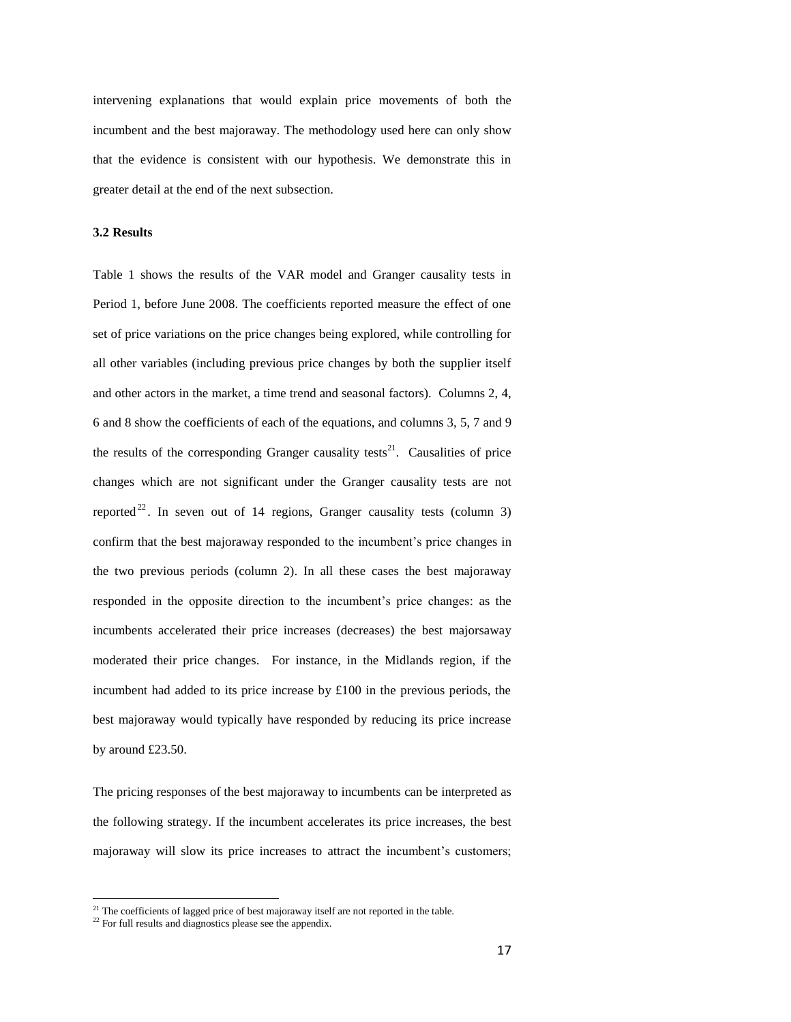intervening explanations that would explain price movements of both the incumbent and the best majoraway. The methodology used here can only show that the evidence is consistent with our hypothesis. We demonstrate this in greater detail at the end of the next subsection.

#### **3.2 Results**

Table 1 shows the results of the VAR model and Granger causality tests in Period 1, before June 2008. The coefficients reported measure the effect of one set of price variations on the price changes being explored, while controlling for all other variables (including previous price changes by both the supplier itself and other actors in the market, a time trend and seasonal factors). Columns 2, 4, 6 and 8 show the coefficients of each of the equations, and columns 3, 5, 7 and 9 the results of the corresponding Granger causality tests<sup>21</sup>. Causalities of price changes which are not significant under the Granger causality tests are not reported<sup>22</sup>. In seven out of 14 regions, Granger causality tests (column 3) confirm that the best majoraway responded to the incumbent's price changes in the two previous periods (column 2). In all these cases the best majoraway responded in the opposite direction to the incumbent's price changes: as the incumbents accelerated their price increases (decreases) the best majorsaway moderated their price changes. For instance, in the Midlands region, if the incumbent had added to its price increase by £100 in the previous periods, the best majoraway would typically have responded by reducing its price increase by around £23.50.

The pricing responses of the best majoraway to incumbents can be interpreted as the following strategy. If the incumbent accelerates its price increases, the best majoraway will slow its price increases to attract the incumbent's customers;

l

 $21$ <sup>21</sup> The coefficients of lagged price of best majoraway itself are not reported in the table.

 $22$  For full results and diagnostics please see the appendix.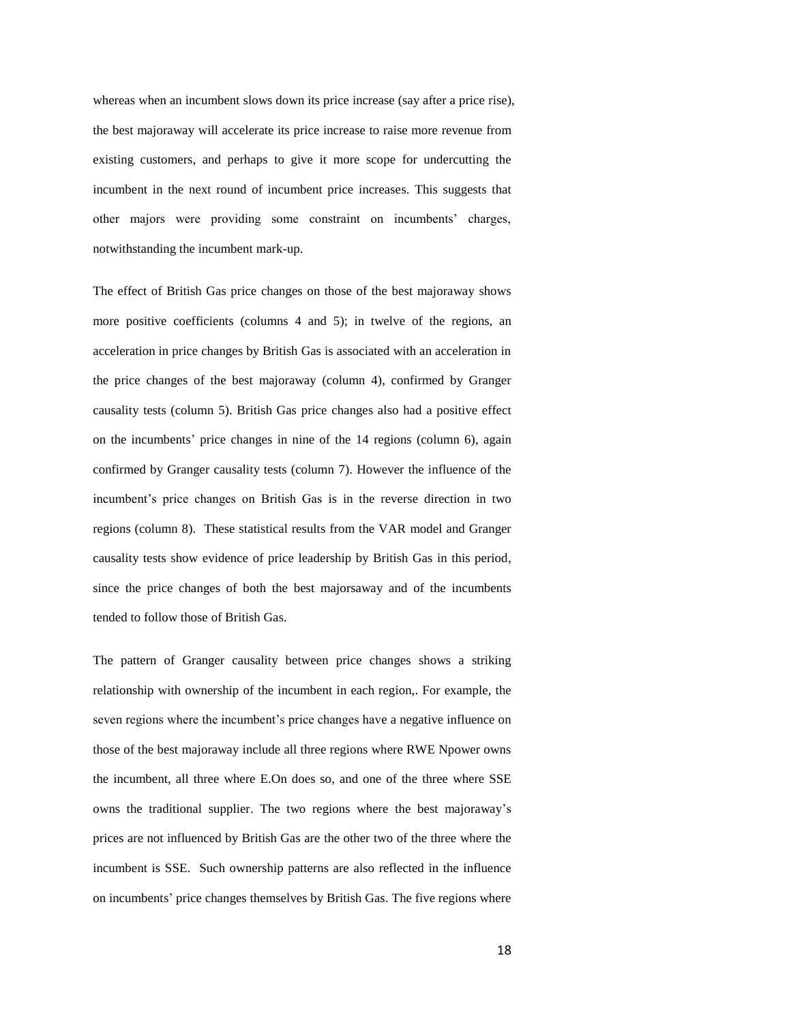whereas when an incumbent slows down its price increase (say after a price rise), the best majoraway will accelerate its price increase to raise more revenue from existing customers, and perhaps to give it more scope for undercutting the incumbent in the next round of incumbent price increases. This suggests that other majors were providing some constraint on incumbents' charges, notwithstanding the incumbent mark-up.

The effect of British Gas price changes on those of the best majoraway shows more positive coefficients (columns 4 and 5); in twelve of the regions, an acceleration in price changes by British Gas is associated with an acceleration in the price changes of the best majoraway (column 4), confirmed by Granger causality tests (column 5). British Gas price changes also had a positive effect on the incumbents' price changes in nine of the 14 regions (column 6), again confirmed by Granger causality tests (column 7). However the influence of the incumbent's price changes on British Gas is in the reverse direction in two regions (column 8). These statistical results from the VAR model and Granger causality tests show evidence of price leadership by British Gas in this period, since the price changes of both the best majorsaway and of the incumbents tended to follow those of British Gas.

The pattern of Granger causality between price changes shows a striking relationship with ownership of the incumbent in each region,. For example, the seven regions where the incumbent's price changes have a negative influence on those of the best majoraway include all three regions where RWE Npower owns the incumbent, all three where E.On does so, and one of the three where SSE owns the traditional supplier. The two regions where the best majoraway's prices are not influenced by British Gas are the other two of the three where the incumbent is SSE. Such ownership patterns are also reflected in the influence on incumbents' price changes themselves by British Gas. The five regions where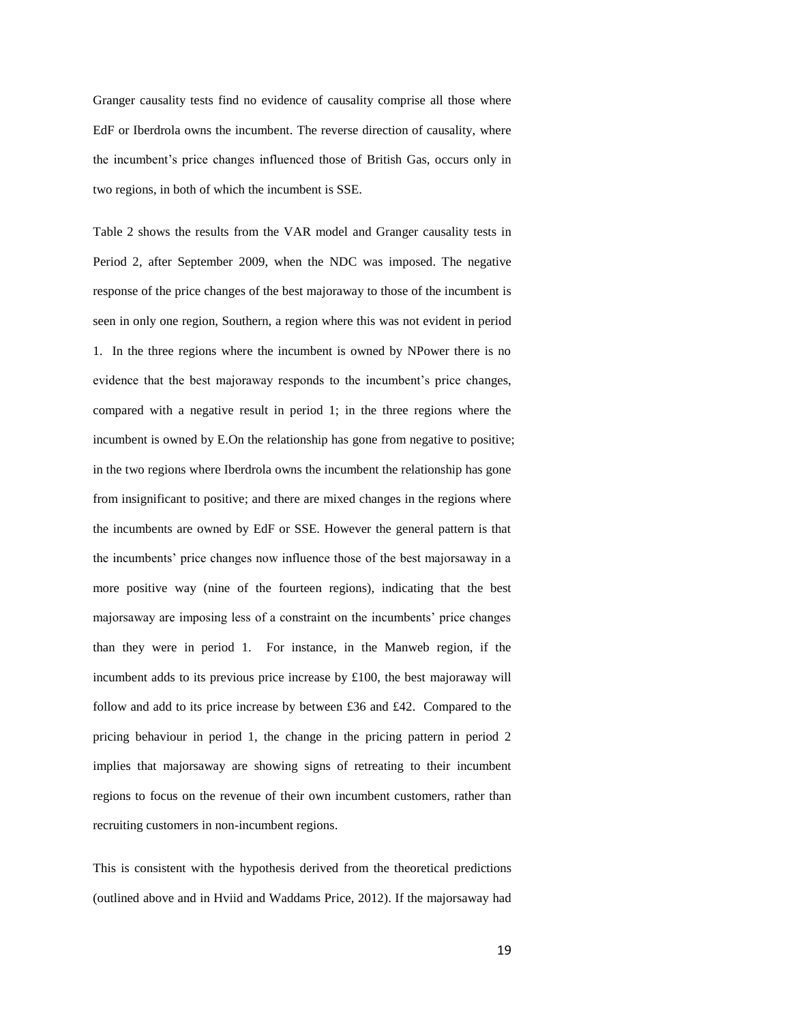Granger causality tests find no evidence of causality comprise all those where EdF or Iberdrola owns the incumbent. The reverse direction of causality, where the incumbent's price changes influenced those of British Gas, occurs only in two regions, in both of which the incumbent is SSE.

Table 2 shows the results from the VAR model and Granger causality tests in Period 2, after September 2009, when the NDC was imposed. The negative response of the price changes of the best majoraway to those of the incumbent is seen in only one region, Southern, a region where this was not evident in period 1. In the three regions where the incumbent is owned by NPower there is no evidence that the best majoraway responds to the incumbent's price changes, compared with a negative result in period 1; in the three regions where the incumbent is owned by E.On the relationship has gone from negative to positive; in the two regions where Iberdrola owns the incumbent the relationship has gone from insignificant to positive; and there are mixed changes in the regions where the incumbents are owned by EdF or SSE. However the general pattern is that the incumbents' price changes now influence those of the best majorsaway in a more positive way (nine of the fourteen regions), indicating that the best majorsaway are imposing less of a constraint on the incumbents' price changes than they were in period 1. For instance, in the Manweb region, if the incumbent adds to its previous price increase by £100, the best majoraway will follow and add to its price increase by between £36 and £42. Compared to the pricing behaviour in period 1, the change in the pricing pattern in period 2 implies that majorsaway are showing signs of retreating to their incumbent regions to focus on the revenue of their own incumbent customers, rather than recruiting customers in non-incumbent regions.

This is consistent with the hypothesis derived from the theoretical predictions (outlined above and in Hviid and Waddams Price, 2012). If the majorsaway had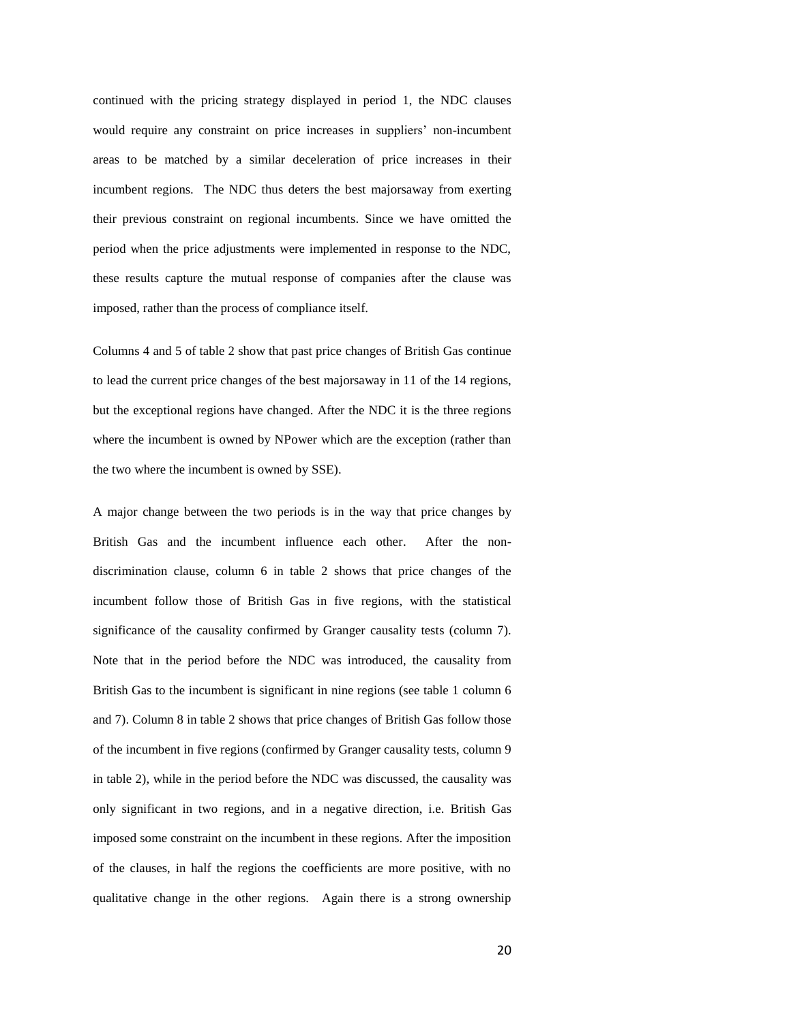continued with the pricing strategy displayed in period 1, the NDC clauses would require any constraint on price increases in suppliers' non-incumbent areas to be matched by a similar deceleration of price increases in their incumbent regions. The NDC thus deters the best majorsaway from exerting their previous constraint on regional incumbents. Since we have omitted the period when the price adjustments were implemented in response to the NDC, these results capture the mutual response of companies after the clause was imposed, rather than the process of compliance itself.

Columns 4 and 5 of table 2 show that past price changes of British Gas continue to lead the current price changes of the best majorsaway in 11 of the 14 regions, but the exceptional regions have changed. After the NDC it is the three regions where the incumbent is owned by NPower which are the exception (rather than the two where the incumbent is owned by SSE).

A major change between the two periods is in the way that price changes by British Gas and the incumbent influence each other. After the nondiscrimination clause, column 6 in table 2 shows that price changes of the incumbent follow those of British Gas in five regions, with the statistical significance of the causality confirmed by Granger causality tests (column 7). Note that in the period before the NDC was introduced, the causality from British Gas to the incumbent is significant in nine regions (see table 1 column 6 and 7). Column 8 in table 2 shows that price changes of British Gas follow those of the incumbent in five regions (confirmed by Granger causality tests, column 9 in table 2), while in the period before the NDC was discussed, the causality was only significant in two regions, and in a negative direction, i.e. British Gas imposed some constraint on the incumbent in these regions. After the imposition of the clauses, in half the regions the coefficients are more positive, with no qualitative change in the other regions. Again there is a strong ownership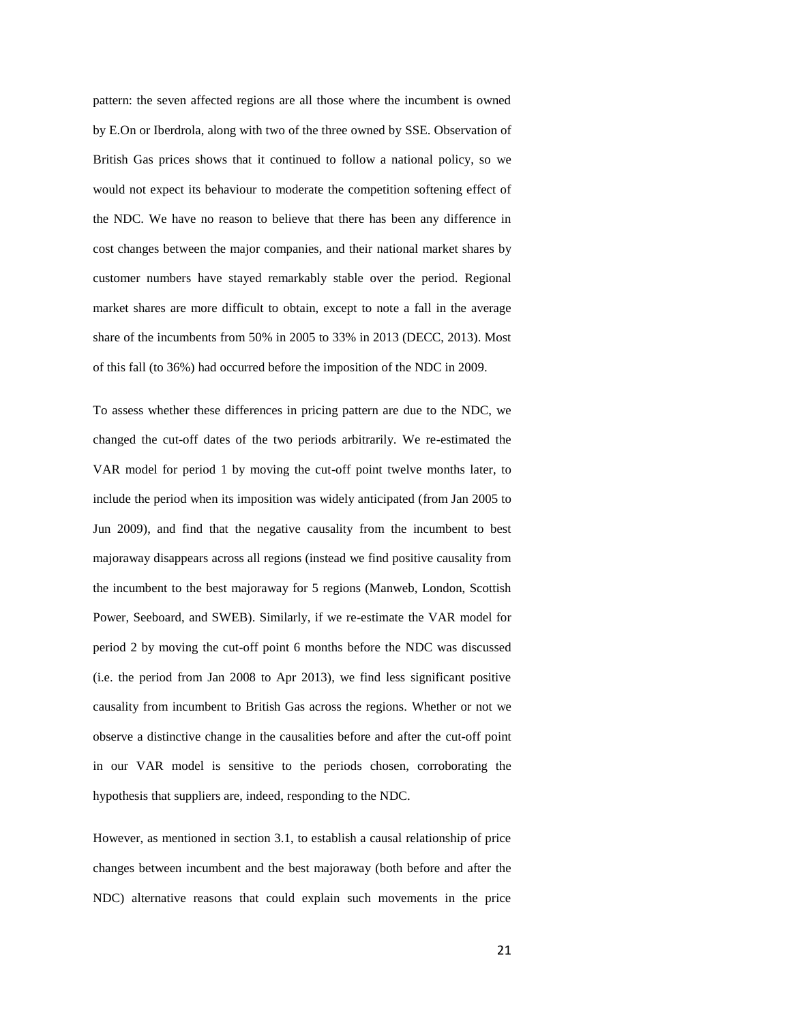pattern: the seven affected regions are all those where the incumbent is owned by E.On or Iberdrola, along with two of the three owned by SSE. Observation of British Gas prices shows that it continued to follow a national policy, so we would not expect its behaviour to moderate the competition softening effect of the NDC. We have no reason to believe that there has been any difference in cost changes between the major companies, and their national market shares by customer numbers have stayed remarkably stable over the period. Regional market shares are more difficult to obtain, except to note a fall in the average share of the incumbents from 50% in 2005 to 33% in 2013 (DECC, 2013). Most of this fall (to 36%) had occurred before the imposition of the NDC in 2009.

To assess whether these differences in pricing pattern are due to the NDC, we changed the cut-off dates of the two periods arbitrarily. We re-estimated the VAR model for period 1 by moving the cut-off point twelve months later, to include the period when its imposition was widely anticipated (from Jan 2005 to Jun 2009), and find that the negative causality from the incumbent to best majoraway disappears across all regions (instead we find positive causality from the incumbent to the best majoraway for 5 regions (Manweb, London, Scottish Power, Seeboard, and SWEB). Similarly, if we re-estimate the VAR model for period 2 by moving the cut-off point 6 months before the NDC was discussed (i.e. the period from Jan 2008 to Apr 2013), we find less significant positive causality from incumbent to British Gas across the regions. Whether or not we observe a distinctive change in the causalities before and after the cut-off point in our VAR model is sensitive to the periods chosen, corroborating the hypothesis that suppliers are, indeed, responding to the NDC.

However, as mentioned in section 3.1, to establish a causal relationship of price changes between incumbent and the best majoraway (both before and after the NDC) alternative reasons that could explain such movements in the price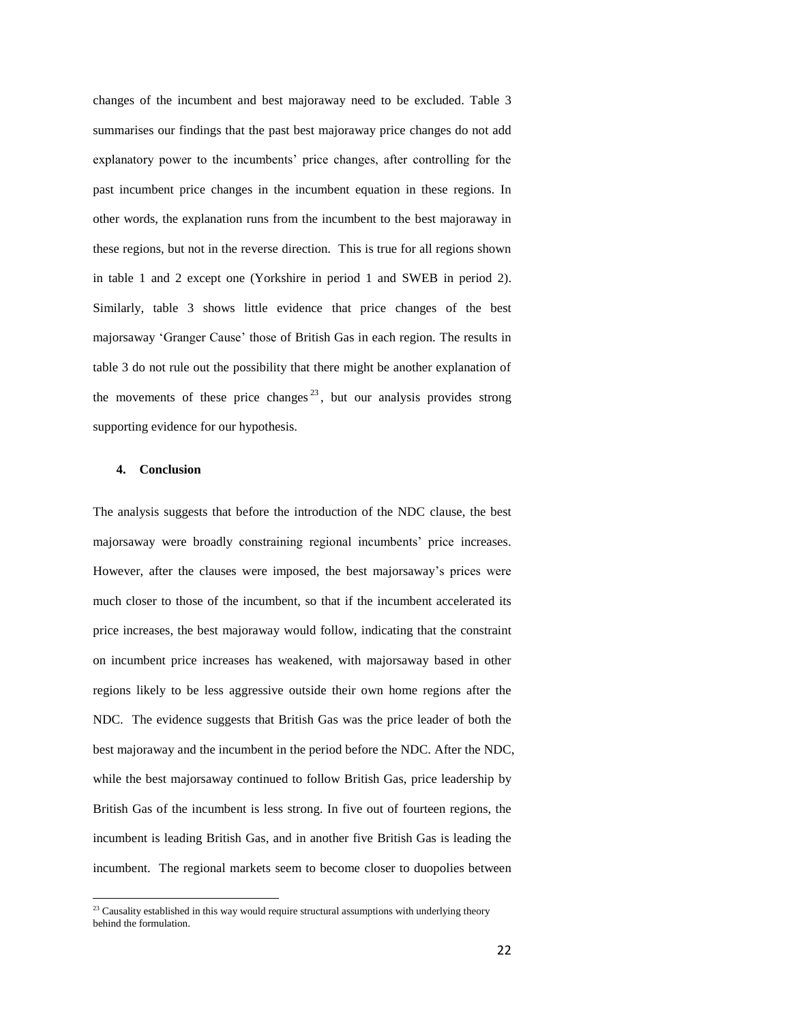changes of the incumbent and best majoraway need to be excluded. Table 3 summarises our findings that the past best majoraway price changes do not add explanatory power to the incumbents' price changes, after controlling for the past incumbent price changes in the incumbent equation in these regions. In other words, the explanation runs from the incumbent to the best majoraway in these regions, but not in the reverse direction. This is true for all regions shown in table 1 and 2 except one (Yorkshire in period 1 and SWEB in period 2). Similarly, table 3 shows little evidence that price changes of the best majorsaway 'Granger Cause' those of British Gas in each region. The results in table 3 do not rule out the possibility that there might be another explanation of the movements of these price changes<sup>23</sup>, but our analysis provides strong supporting evidence for our hypothesis.

### **4. Conclusion**

l

The analysis suggests that before the introduction of the NDC clause, the best majorsaway were broadly constraining regional incumbents' price increases. However, after the clauses were imposed, the best majorsaway's prices were much closer to those of the incumbent, so that if the incumbent accelerated its price increases, the best majoraway would follow, indicating that the constraint on incumbent price increases has weakened, with majorsaway based in other regions likely to be less aggressive outside their own home regions after the NDC. The evidence suggests that British Gas was the price leader of both the best majoraway and the incumbent in the period before the NDC. After the NDC, while the best majorsaway continued to follow British Gas, price leadership by British Gas of the incumbent is less strong. In five out of fourteen regions, the incumbent is leading British Gas, and in another five British Gas is leading the incumbent. The regional markets seem to become closer to duopolies between

 $23$  Causality established in this way would require structural assumptions with underlying theory behind the formulation.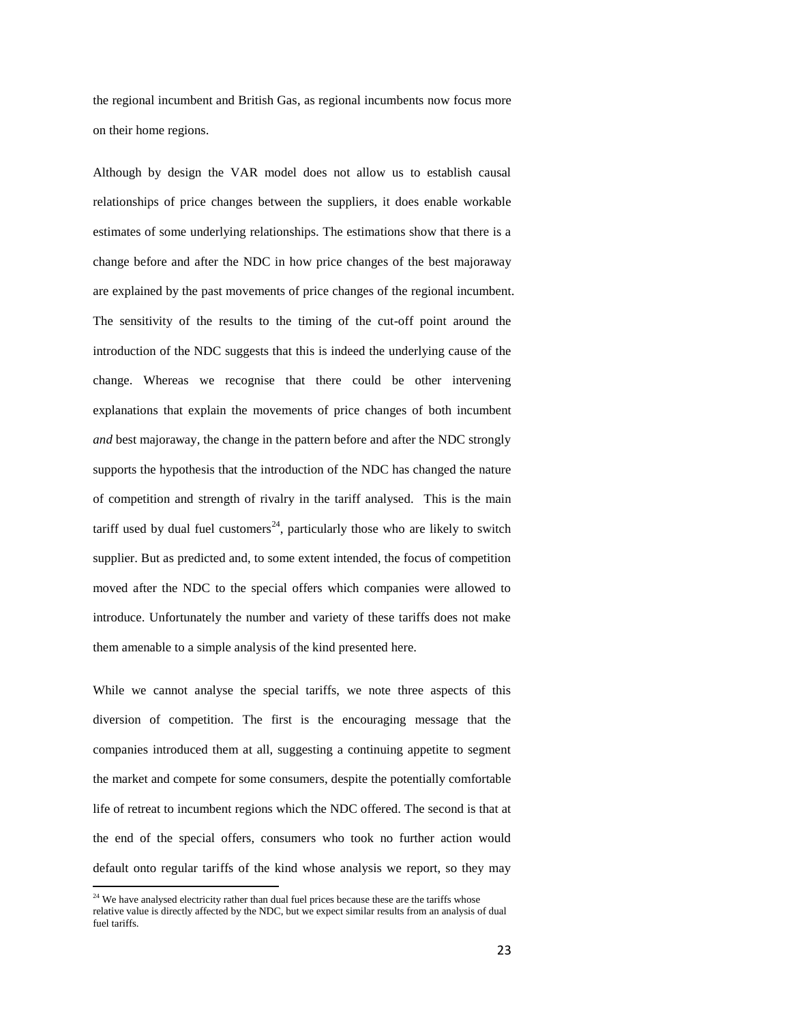the regional incumbent and British Gas, as regional incumbents now focus more on their home regions.

Although by design the VAR model does not allow us to establish causal relationships of price changes between the suppliers, it does enable workable estimates of some underlying relationships. The estimations show that there is a change before and after the NDC in how price changes of the best majoraway are explained by the past movements of price changes of the regional incumbent. The sensitivity of the results to the timing of the cut-off point around the introduction of the NDC suggests that this is indeed the underlying cause of the change. Whereas we recognise that there could be other intervening explanations that explain the movements of price changes of both incumbent *and* best majoraway, the change in the pattern before and after the NDC strongly supports the hypothesis that the introduction of the NDC has changed the nature of competition and strength of rivalry in the tariff analysed. This is the main tariff used by dual fuel customers<sup>24</sup>, particularly those who are likely to switch supplier. But as predicted and, to some extent intended, the focus of competition moved after the NDC to the special offers which companies were allowed to introduce. Unfortunately the number and variety of these tariffs does not make them amenable to a simple analysis of the kind presented here.

While we cannot analyse the special tariffs, we note three aspects of this diversion of competition. The first is the encouraging message that the companies introduced them at all, suggesting a continuing appetite to segment the market and compete for some consumers, despite the potentially comfortable life of retreat to incumbent regions which the NDC offered. The second is that at the end of the special offers, consumers who took no further action would default onto regular tariffs of the kind whose analysis we report, so they may

<sup>&</sup>lt;sup>24</sup> We have analysed electricity rather than dual fuel prices because these are the tariffs whose relative value is directly affected by the NDC, but we expect similar results from an analysis of dual fuel tariffs.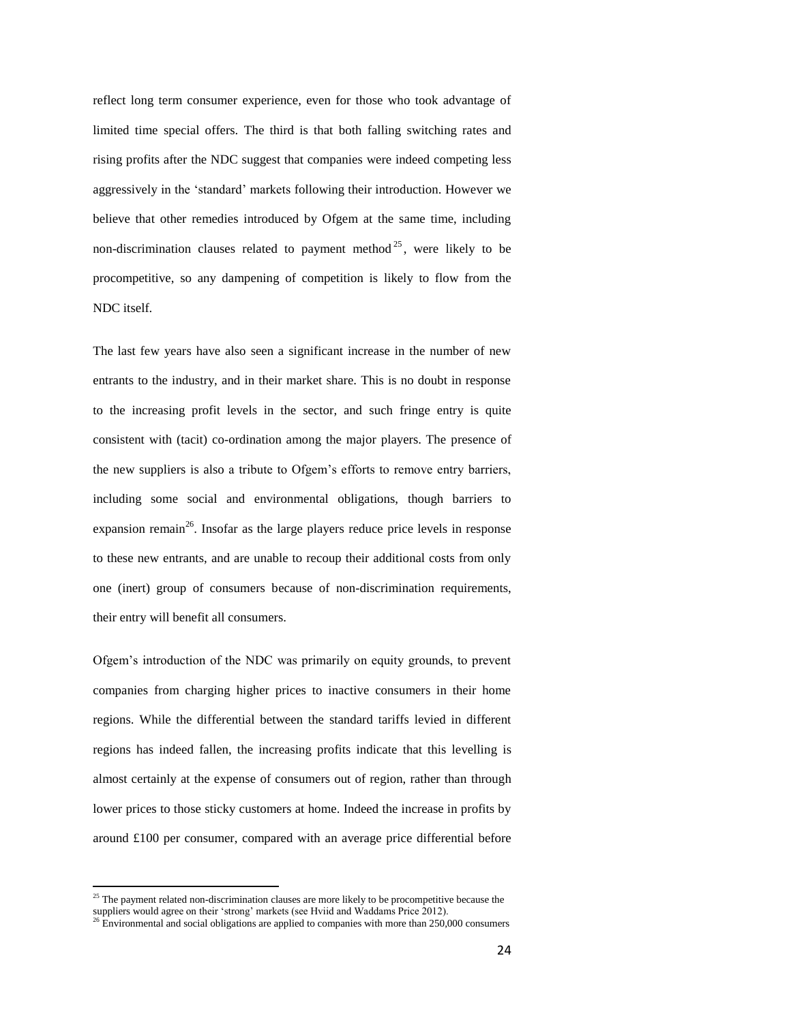reflect long term consumer experience, even for those who took advantage of limited time special offers. The third is that both falling switching rates and rising profits after the NDC suggest that companies were indeed competing less aggressively in the 'standard' markets following their introduction. However we believe that other remedies introduced by Ofgem at the same time, including non-discrimination clauses related to payment method  $2^5$ , were likely to be procompetitive, so any dampening of competition is likely to flow from the NDC itself.

The last few years have also seen a significant increase in the number of new entrants to the industry, and in their market share. This is no doubt in response to the increasing profit levels in the sector, and such fringe entry is quite consistent with (tacit) co-ordination among the major players. The presence of the new suppliers is also a tribute to Ofgem's efforts to remove entry barriers, including some social and environmental obligations, though barriers to expansion remain<sup>26</sup>. Insofar as the large players reduce price levels in response to these new entrants, and are unable to recoup their additional costs from only one (inert) group of consumers because of non-discrimination requirements, their entry will benefit all consumers.

Ofgem's introduction of the NDC was primarily on equity grounds, to prevent companies from charging higher prices to inactive consumers in their home regions. While the differential between the standard tariffs levied in different regions has indeed fallen, the increasing profits indicate that this levelling is almost certainly at the expense of consumers out of region, rather than through lower prices to those sticky customers at home. Indeed the increase in profits by around £100 per consumer, compared with an average price differential before

 $25$  The payment related non-discrimination clauses are more likely to be procompetitive because the suppliers would agree on their 'strong' markets (see Hviid and Waddams Price 2012).

 $^{26}$  Environmental and social obligations are applied to companies with more than 250,000 consumers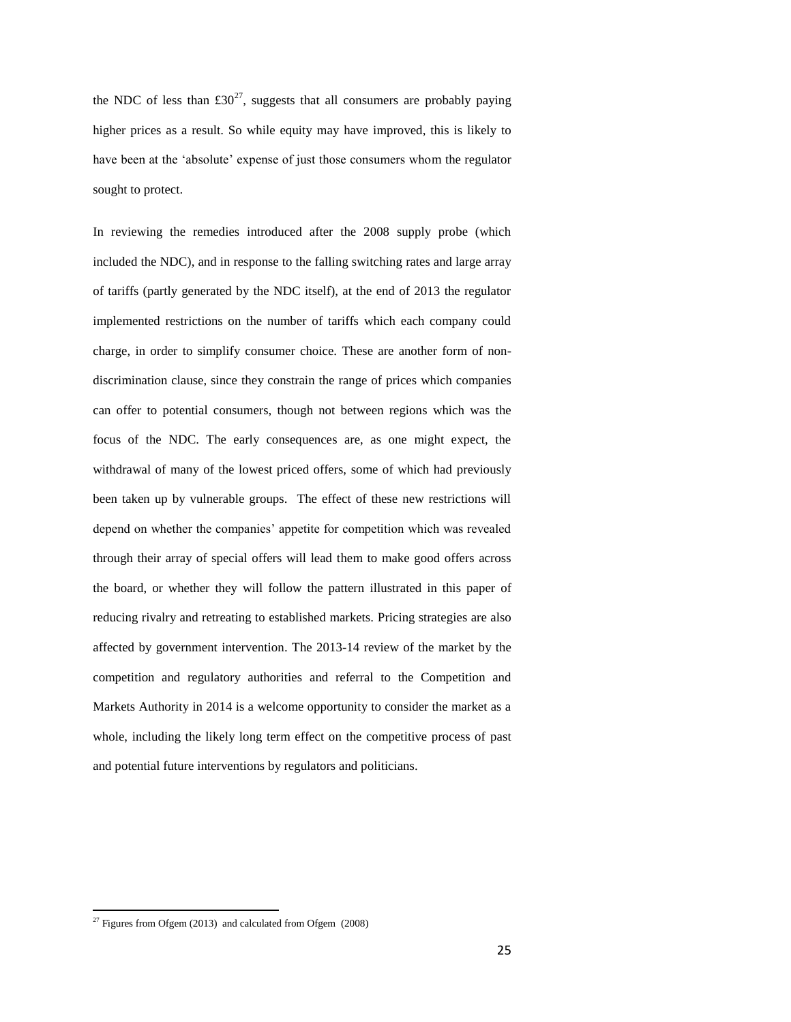the NDC of less than  $\text{\pounds}30^{27}$ , suggests that all consumers are probably paying higher prices as a result. So while equity may have improved, this is likely to have been at the 'absolute' expense of just those consumers whom the regulator sought to protect.

In reviewing the remedies introduced after the 2008 supply probe (which included the NDC), and in response to the falling switching rates and large array of tariffs (partly generated by the NDC itself), at the end of 2013 the regulator implemented restrictions on the number of tariffs which each company could charge, in order to simplify consumer choice. These are another form of nondiscrimination clause, since they constrain the range of prices which companies can offer to potential consumers, though not between regions which was the focus of the NDC. The early consequences are, as one might expect, the withdrawal of many of the lowest priced offers, some of which had previously been taken up by vulnerable groups. The effect of these new restrictions will depend on whether the companies' appetite for competition which was revealed through their array of special offers will lead them to make good offers across the board, or whether they will follow the pattern illustrated in this paper of reducing rivalry and retreating to established markets. Pricing strategies are also affected by government intervention. The 2013-14 review of the market by the competition and regulatory authorities and referral to the Competition and Markets Authority in 2014 is a welcome opportunity to consider the market as a whole, including the likely long term effect on the competitive process of past and potential future interventions by regulators and politicians.

 $27$  Figures from Ofgem (2013) and calculated from Ofgem (2008)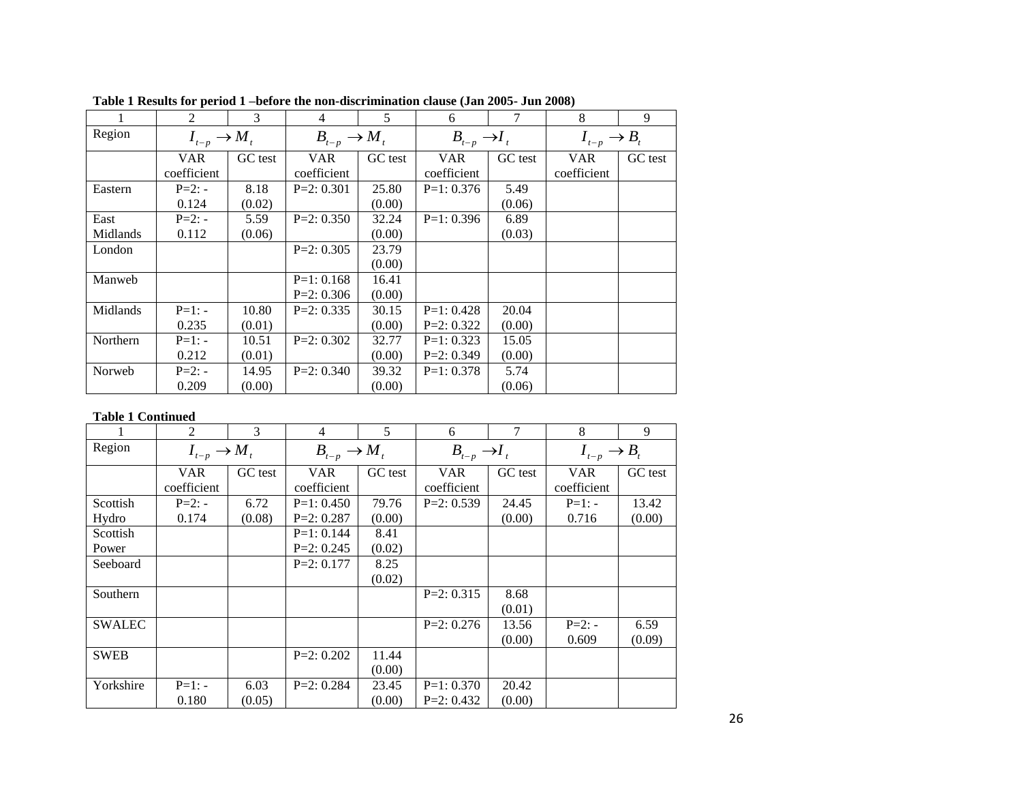|          | 2                 | 3       | 4            | 5                 | 6            | 7                         | 8           | 9                         |
|----------|-------------------|---------|--------------|-------------------|--------------|---------------------------|-------------|---------------------------|
| Region   | $I_{t-p} \to M_t$ |         |              | $B_{t-p} \to M_t$ |              | $B_{t-p} \rightarrow I_t$ |             | $I_{t-p} \rightarrow B_t$ |
|          | <b>VAR</b>        | GC test | <b>VAR</b>   | GC test           | <b>VAR</b>   | GC test                   | <b>VAR</b>  | GC test                   |
|          | coefficient       |         | coefficient  |                   | coefficient  |                           | coefficient |                           |
| Eastern  | $P=2: -$          | 8.18    | $P=2:0.301$  | 25.80             | $P=1: 0.376$ | 5.49                      |             |                           |
|          | 0.124             | (0.02)  |              | (0.00)            |              | (0.06)                    |             |                           |
| East     | $P=2: -$          | 5.59    | $P=2: 0.350$ | 32.24             | $P=1:0.396$  | 6.89                      |             |                           |
| Midlands | 0.112             | (0.06)  |              | (0.00)            |              | (0.03)                    |             |                           |
| London   |                   |         | $P=2:0.305$  | 23.79             |              |                           |             |                           |
|          |                   |         |              | (0.00)            |              |                           |             |                           |
| Manweb   |                   |         | $P=1:0.168$  | 16.41             |              |                           |             |                           |
|          |                   |         | $P=2: 0.306$ | (0.00)            |              |                           |             |                           |
| Midlands | $P=1:-$           | 10.80   | $P=2:0.335$  | 30.15             | $P=1:0.428$  | 20.04                     |             |                           |
|          | 0.235             | (0.01)  |              | (0.00)            | $P=2:0.322$  | (0.00)                    |             |                           |
| Northern | $P=1:-$           | 10.51   | $P=2:0.302$  | 32.77             | $P=1:0.323$  | 15.05                     |             |                           |
|          | 0.212             | (0.01)  |              | (0.00)            | $P=2:0.349$  | (0.00)                    |             |                           |
| Norweb   | $P=2: -$          | 14.95   | $P=2: 0.340$ | 39.32             | $P=1:0.378$  | 5.74                      |             |                           |
|          | 0.209             | (0.00)  |              | (0.00)            |              | (0.06)                    |             |                           |

**Table 1 Results for period 1 –before the non-discrimination clause (Jan 2005- Jun 2008)**

## **Table 1 Continued**

|               | 2                 | 3       | $\overline{4}$ | 5                 | 6            | 7                         | 8           | 9                         |
|---------------|-------------------|---------|----------------|-------------------|--------------|---------------------------|-------------|---------------------------|
| Region        | $I_{t-p} \to M_t$ |         |                | $B_{t-p} \to M_t$ |              | $B_{t-p} \rightarrow I_t$ |             | $I_{t-p} \rightarrow B_t$ |
|               | VAR               | GC test | <b>VAR</b>     | GC test           | VAR          | GC test                   | VAR         | GC test                   |
|               | coefficient       |         | coefficient    |                   | coefficient  |                           | coefficient |                           |
| Scottish      | $P=2: -$          | 6.72    | $P=1: 0.450$   | 79.76             | $P=2:0.539$  | 24.45                     | $P=1$ : -   | 13.42                     |
| Hydro         | 0.174             | (0.08)  | $P=2:0.287$    | (0.00)            |              | (0.00)                    | 0.716       | (0.00)                    |
| Scottish      |                   |         | $P=1:0.144$    | 8.41              |              |                           |             |                           |
| Power         |                   |         | $P=2:0.245$    | (0.02)            |              |                           |             |                           |
| Seeboard      |                   |         | $P=2:0.177$    | 8.25              |              |                           |             |                           |
|               |                   |         |                | (0.02)            |              |                           |             |                           |
| Southern      |                   |         |                |                   | $P=2:0.315$  | 8.68                      |             |                           |
|               |                   |         |                |                   |              | (0.01)                    |             |                           |
| <b>SWALEC</b> |                   |         |                |                   | $P=2:0.276$  | 13.56                     | $P=2: -$    | 6.59                      |
|               |                   |         |                |                   |              | (0.00)                    | 0.609       | (0.09)                    |
| <b>SWEB</b>   |                   |         | $P=2:0.202$    | 11.44             |              |                           |             |                           |
|               |                   |         |                | (0.00)            |              |                           |             |                           |
| Yorkshire     | $P=1:-$           | 6.03    | $P=2:0.284$    | 23.45             | $P=1: 0.370$ | 20.42                     |             |                           |
|               | 0.180             | (0.05)  |                | (0.00)            | $P=2:0.432$  | (0.00)                    |             |                           |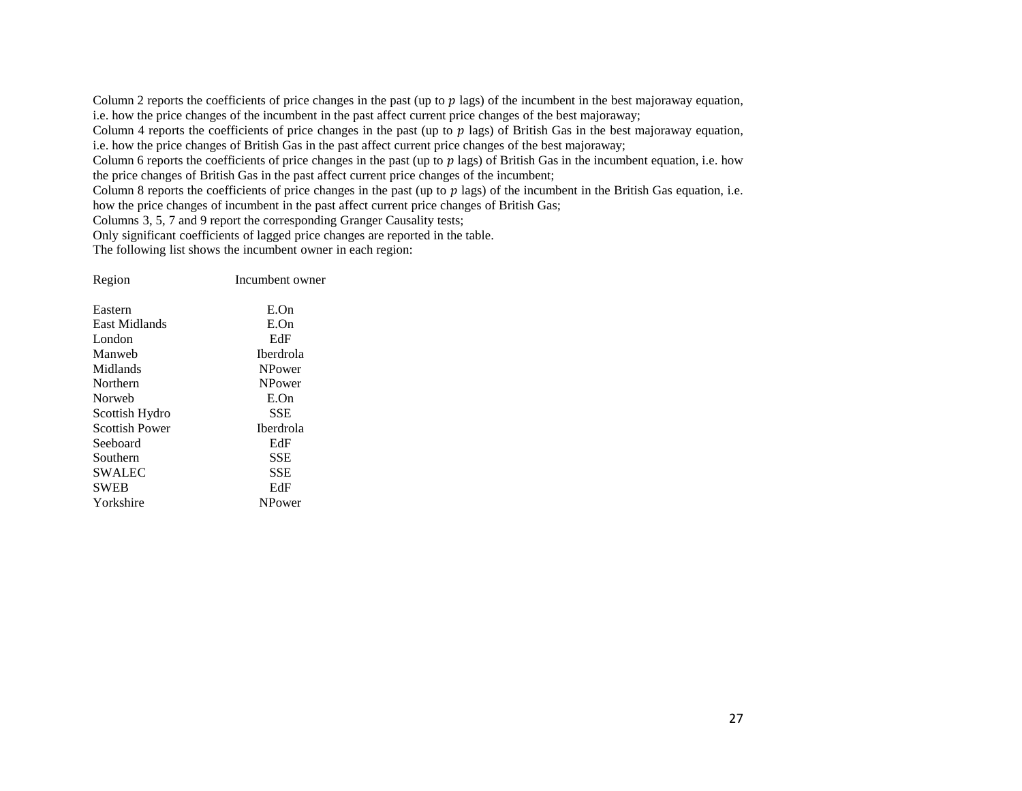Column 2 reports the coefficients of price changes in the past (up to  $p$  lags) of the incumbent in the best majoraway equation, i.e. how the price changes of the incumbent in the past affect current price changes of the best majoraway;

Column 4 reports the coefficients of price changes in the past (up to  $p$  lags) of British Gas in the best majoraway equation, i.e. how the price changes of British Gas in the past affect current price changes of the best majoraway;

Column 6 reports the coefficients of price changes in the past (up to  $p$  lags) of British Gas in the incumbent equation, i.e. how the price changes of British Gas in the past affect current price changes of the incumbent;

Column 8 reports the coefficients of price changes in the past (up to  $p$  lags) of the incumbent in the British Gas equation, i.e. how the price changes of incumbent in the past affect current price changes of British Gas;

Columns 3, 5, 7 and 9 report the corresponding Granger Causality tests;

Only significant coefficients of lagged price changes are reported in the table.

The following list shows the incumbent owner in each region:

| Region                | Incumbent owner  |
|-----------------------|------------------|
| Eastern               | E.On             |
| East Midlands         | E.On             |
| London                | EdF              |
| Manweb                | <b>Iberdrola</b> |
| Midlands              | NPower           |
| Northern              | NPower           |
| Norweb                | E.On             |
| Scottish Hydro        | <b>SSE</b>       |
| <b>Scottish Power</b> | <b>Iberdrola</b> |
| Seeboard              | EdF              |
| Southern              | SSE              |
| <b>SWALEC</b>         | SSE              |
| <b>SWEB</b>           | EdF              |
| Yorkshire             | NPower           |
|                       |                  |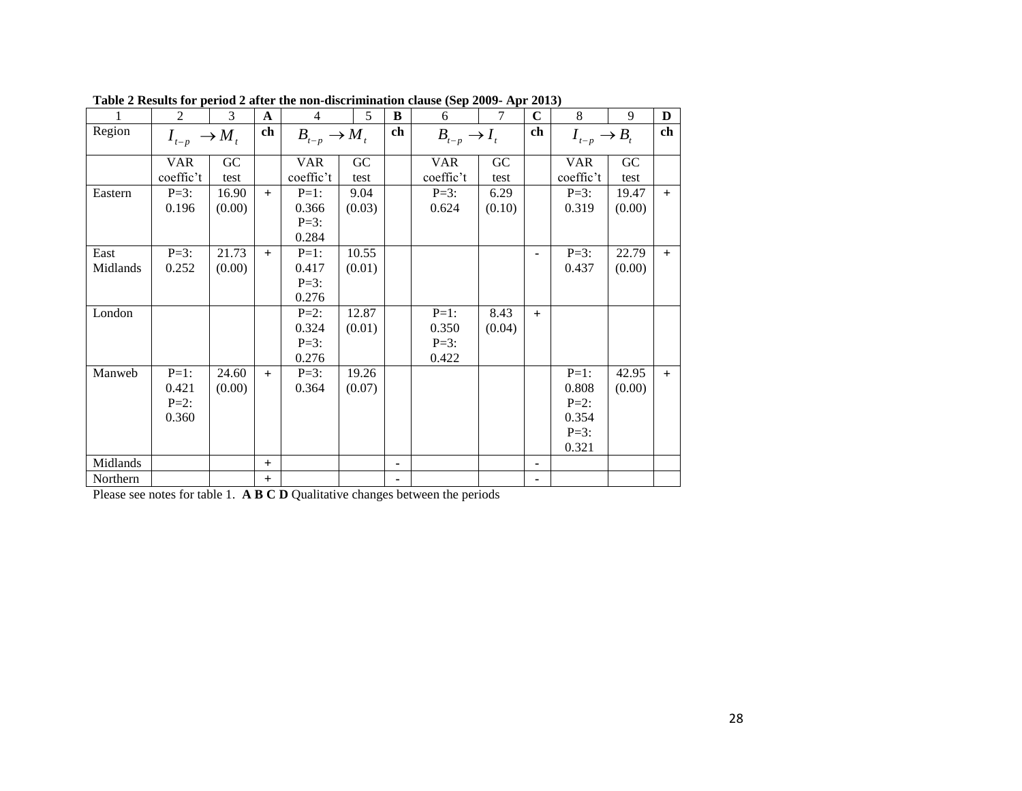| 1        | $\mathfrak{D}$            | 3      | $\mathbf{A}$ | $\overline{4}$    | 5      | B  | 6                 | $\overline{7}$ | $\mathbf C$ | 8                         | 9      | $\mathbf{D}$ |
|----------|---------------------------|--------|--------------|-------------------|--------|----|-------------------|----------------|-------------|---------------------------|--------|--------------|
| Region   | $I_{t-p} \rightarrow M_t$ |        | ch           | $B_{t-p} \to M_t$ |        | ch | $B_{t-p} \to I_t$ |                | ch          | $I_{t-p} \rightarrow B_t$ |        | ch           |
|          | <b>VAR</b>                | GC     |              | <b>VAR</b>        | GC     |    | <b>VAR</b>        | GC             |             | <b>VAR</b>                | GC     |              |
|          | coeffic't                 | test   |              | coeffic't         | test   |    | coeffic't         | test           |             | coeffic't                 | test   |              |
| Eastern  | $P=3:$                    | 16.90  | $+$          | $P=1:$            | 9.04   |    | $P=3:$            | 6.29           |             | $P=3:$                    | 19.47  | $+$          |
|          | 0.196                     | (0.00) |              | 0.366             | (0.03) |    | 0.624             | (0.10)         |             | 0.319                     | (0.00) |              |
|          |                           |        |              | $P=3:$            |        |    |                   |                |             |                           |        |              |
|          |                           |        |              | 0.284             |        |    |                   |                |             |                           |        |              |
| East     | $P=3:$                    | 21.73  | $+$          | $P=1:$            | 10.55  |    |                   |                |             | $P=3:$                    | 22.79  | $+$          |
| Midlands | 0.252                     | (0.00) |              | 0.417             | (0.01) |    |                   |                |             | 0.437                     | (0.00) |              |
|          |                           |        |              | $P=3:$            |        |    |                   |                |             |                           |        |              |
|          |                           |        |              | 0.276             |        |    |                   |                |             |                           |        |              |
| London   |                           |        |              | $P=2$ :           | 12.87  |    | $P=1$ :           | 8.43           | $+$         |                           |        |              |
|          |                           |        |              | 0.324             | (0.01) |    | 0.350             | (0.04)         |             |                           |        |              |
|          |                           |        |              | $P=3:$            |        |    | $P=3:$            |                |             |                           |        |              |
|          |                           |        |              | 0.276             |        |    | 0.422             |                |             |                           |        |              |
| Manweb   | $P=1$ :                   | 24.60  | $+$          | $P=3:$            | 19.26  |    |                   |                |             | $P=1$ :                   | 42.95  | $+$          |
|          | 0.421                     | (0.00) |              | 0.364             | (0.07) |    |                   |                |             | 0.808                     | (0.00) |              |
|          | $P=2$ :                   |        |              |                   |        |    |                   |                |             | $P=2$ :                   |        |              |
|          | 0.360                     |        |              |                   |        |    |                   |                |             | 0.354                     |        |              |
|          |                           |        |              |                   |        |    |                   |                |             | $P=3:$                    |        |              |
|          |                           |        |              |                   |        |    |                   |                |             | 0.321                     |        |              |
| Midlands |                           |        | $+$          |                   |        | ۰  |                   |                |             |                           |        |              |
| Northern |                           |        | $+$          |                   |        |    |                   |                |             |                           |        |              |

**Table 2 Results for period 2 after the non-discrimination clause (Sep 2009- Apr 2013)** 

Please see notes for table 1. **A B C D** Qualitative changes between the periods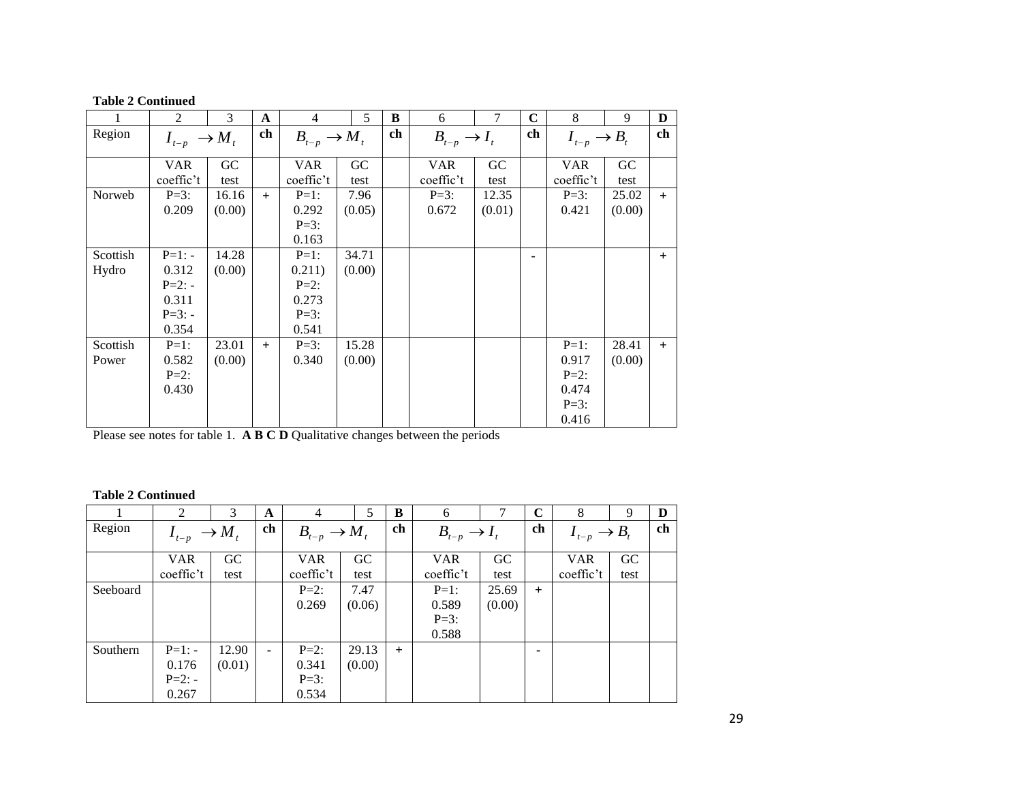| <b>Table 2 Continued</b> |
|--------------------------|
|--------------------------|

|          | 2          | 3                   | A   | $\overline{4}$    | 5      | B  | 6                 | 7      | $\mathbf C$ | 8                         | 9      | D   |
|----------|------------|---------------------|-----|-------------------|--------|----|-------------------|--------|-------------|---------------------------|--------|-----|
| Region   | $I_{t-p}$  | $\rightarrow M_{t}$ | ch  | $B_{t-p} \to M_t$ |        | ch | $B_{t-p} \to I_t$ |        | ch          | $I_{t-p} \rightarrow B_t$ |        | ch  |
|          | <b>VAR</b> | GC                  |     | <b>VAR</b>        | GC     |    | <b>VAR</b>        | GC     |             | <b>VAR</b>                | GC     |     |
|          | coeffic't  | test                |     | coeffic't         | test   |    | coeffic't         | test   |             | coeffic't                 | test   |     |
| Norweb   | $P=3:$     | 16.16               | $+$ | $P=1$ :           | 7.96   |    | $P=3:$            | 12.35  |             | $P=3:$                    | 25.02  | $+$ |
|          | 0.209      | (0.00)              |     | 0.292             | (0.05) |    | 0.672             | (0.01) |             | 0.421                     | (0.00) |     |
|          |            |                     |     | $P=3:$            |        |    |                   |        |             |                           |        |     |
|          |            |                     |     | 0.163             |        |    |                   |        |             |                           |        |     |
| Scottish | $P=1$ : -  | 14.28               |     | $P=1$ :           | 34.71  |    |                   |        |             |                           |        | $+$ |
| Hydro    | 0.312      | (0.00)              |     | 0.211)            | (0.00) |    |                   |        |             |                           |        |     |
|          | $P=2$ : -  |                     |     | $P=2$ :           |        |    |                   |        |             |                           |        |     |
|          | 0.311      |                     |     | 0.273             |        |    |                   |        |             |                           |        |     |
|          | $P=3: -$   |                     |     | $P=3:$            |        |    |                   |        |             |                           |        |     |
|          | 0.354      |                     |     | 0.541             |        |    |                   |        |             |                           |        |     |
| Scottish | $P=1$ :    | 23.01               | $+$ | $P=3:$            | 15.28  |    |                   |        |             | $P=1$ :                   | 28.41  | $+$ |
| Power    | 0.582      | (0.00)              |     | 0.340             | (0.00) |    |                   |        |             | 0.917                     | (0.00) |     |
|          | $P=2$ :    |                     |     |                   |        |    |                   |        |             | $P=2$ :                   |        |     |
|          | 0.430      |                     |     |                   |        |    |                   |        |             | 0.474                     |        |     |
|          |            |                     |     |                   |        |    |                   |        |             | $P=3:$                    |        |     |
|          |            |                     |     |                   |        |    |                   |        |             | 0.416                     |        |     |

Please see notes for table 1. **A B C D** Qualitative changes between the periods

# **Table 2 Continued**

|          | 2          | 3                   | A              | 4                 | 5      | B   | 6                 |           | C   | 8                         | 9    | D  |
|----------|------------|---------------------|----------------|-------------------|--------|-----|-------------------|-----------|-----|---------------------------|------|----|
| Region   | $I_{t-p}$  | $\rightarrow M_{t}$ | ch             | $B_{t-p} \to M_t$ |        | ch  | $B_{t-p} \to I_t$ |           | ch  | $I_{t-p} \rightarrow B_t$ |      | ch |
|          | <b>VAR</b> | GC                  |                | <b>VAR</b>        | GC     |     | <b>VAR</b>        | <b>GC</b> |     | <b>VAR</b>                | GC   |    |
|          | coeffic't  | test                |                | coeffic't         | test   |     | coeffic't         | test      |     | coeffic't                 | test |    |
| Seeboard |            |                     |                | $P=2$ :           | 7.47   |     | $P=1$ :           | 25.69     | $+$ |                           |      |    |
|          |            |                     |                | 0.269             | (0.06) |     | 0.589             | (0.00)    |     |                           |      |    |
|          |            |                     |                |                   |        |     | $P=3:$            |           |     |                           |      |    |
|          |            |                     |                |                   |        |     | 0.588             |           |     |                           |      |    |
| Southern | $P=1:-$    | 12.90               | $\blacksquare$ | $P=2$ :           | 29.13  | $+$ |                   |           |     |                           |      |    |
|          | 0.176      | (0.01)              |                | 0.341             | (0.00) |     |                   |           |     |                           |      |    |
|          | $P=2: -$   |                     |                | $P=3:$            |        |     |                   |           |     |                           |      |    |
|          | 0.267      |                     |                | 0.534             |        |     |                   |           |     |                           |      |    |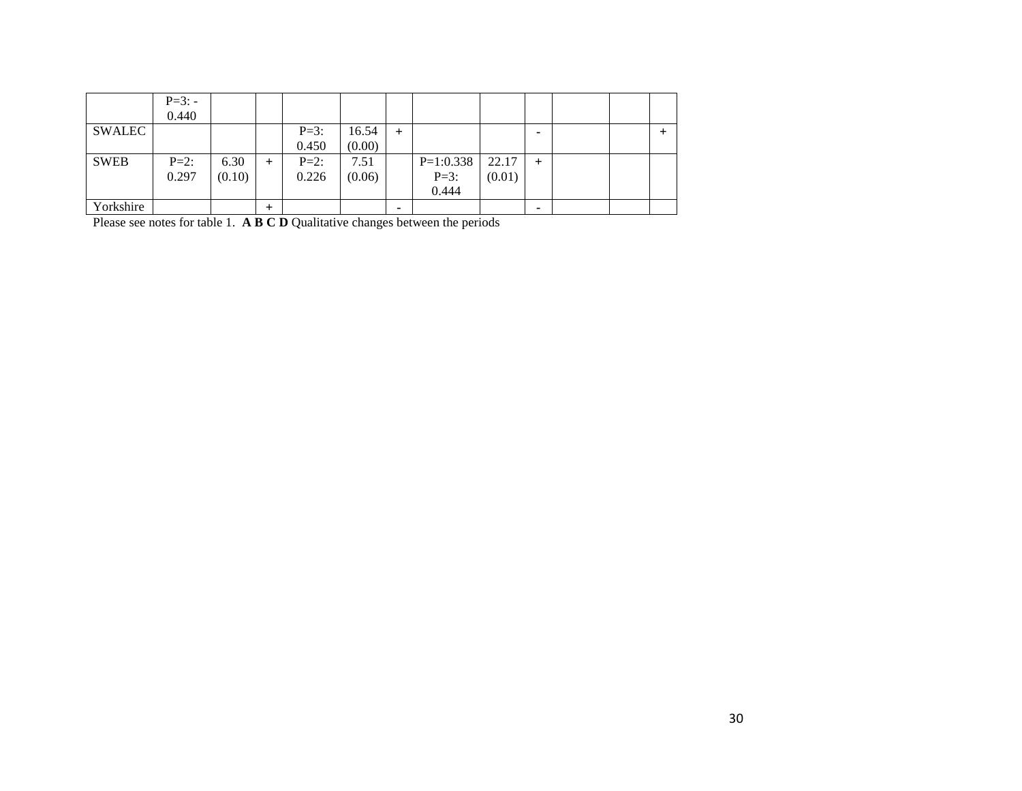|             | $P=3: -$ |        |                |         |        |                |             |        |   |  |       |
|-------------|----------|--------|----------------|---------|--------|----------------|-------------|--------|---|--|-------|
|             | 0.440    |        |                |         |        |                |             |        |   |  |       |
| SWALEC      |          |        |                | $P=3:$  | 16.54  | $\overline{+}$ |             |        |   |  | $\pm$ |
|             |          |        |                | 0.450   | (0.00) |                |             |        |   |  |       |
| <b>SWEB</b> | $P=2$ :  | 6.30   | $\overline{+}$ | $P=2$ : | 7.51   |                | $P=1:0.338$ | 22.17  | + |  |       |
|             | 0.297    | (0.10) |                | 0.226   | (0.06) |                | $P=3:$      | (0.01) |   |  |       |
|             |          |        |                |         |        |                | 0.444       |        |   |  |       |
| Yorkshire   |          |        |                |         |        |                |             |        |   |  |       |

Please see notes for table 1. **A B C D** Qualitative changes between the periods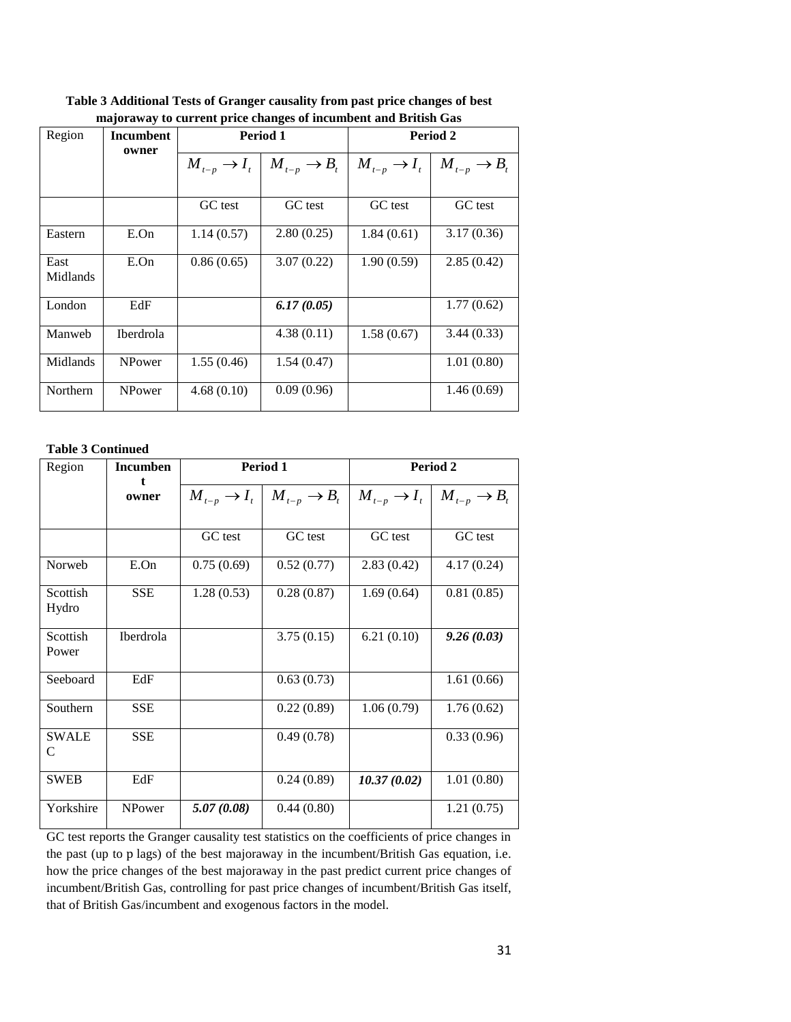| Region           | Incumbent<br>owner |                           | Period 1                  |                           | Period 2                  |
|------------------|--------------------|---------------------------|---------------------------|---------------------------|---------------------------|
|                  |                    | $M_{t-p} \rightarrow I_t$ | $M_{t-p} \rightarrow B_t$ | $M_{t-p} \rightarrow I_t$ | $M_{t-p} \rightarrow B_t$ |
|                  |                    | GC test                   | GC test                   | GC test                   | GC test                   |
| Eastern          | E.On               | 1.14(0.57)                | 2.80(0.25)                | 1.84(0.61)                | 3.17(0.36)                |
| East<br>Midlands | E.On               | 0.86(0.65)                | 3.07(0.22)                | 1.90(0.59)                | 2.85(0.42)                |
| London           | EdF                |                           | 6.17(0.05)                |                           | 1.77(0.62)                |
| Manweb           | Iberdrola          |                           | 4.38(0.11)                | 1.58(0.67)                | 3.44(0.33)                |
| Midlands         | NPower             | 1.55(0.46)                | 1.54(0.47)                |                           | 1.01(0.80)                |
| Northern         | NPower             | 4.68(0.10)                | 0.09(0.96)                |                           | 1.46(0.69)                |

**Table 3 Additional Tests of Granger causality from past price changes of best majoraway to current price changes of incumbent and British Gas**

# **Table 3 Continued**

| Region            | <b>Incumben</b><br>t |                           | Period 1            | Period 2                  |                           |  |  |
|-------------------|----------------------|---------------------------|---------------------|---------------------------|---------------------------|--|--|
|                   | owner                | $M_{t-n} \rightarrow I_t$ | $M_{t-p} \to B_{t}$ | $M_{t-p} \rightarrow I_t$ | $M_{t-p} \rightarrow B_t$ |  |  |
|                   |                      | GC test                   | GC test             | GC test                   | GC test                   |  |  |
| Norweb            | E.On                 | 0.75(0.69)                | 0.52(0.77)          | 2.83(0.42)                | 4.17(0.24)                |  |  |
| Scottish<br>Hydro | <b>SSE</b>           | 1.28(0.53)                | 0.28(0.87)          | 1.69(0.64)                | 0.81(0.85)                |  |  |
| Scottish<br>Power | Iberdrola            |                           | 3.75(0.15)          | 6.21(0.10)                | 9.26(0.03)                |  |  |
| Seeboard          | EdF                  |                           | 0.63(0.73)          |                           | 1.61(0.66)                |  |  |
| Southern          | <b>SSE</b>           |                           | 0.22(0.89)          | 1.06(0.79)                | 1.76(0.62)                |  |  |
| <b>SWALE</b><br>C | <b>SSE</b>           |                           | 0.49(0.78)          |                           | 0.33(0.96)                |  |  |
| <b>SWEB</b>       | EdF                  |                           | 0.24(0.89)          | 10.37(0.02)               | 1.01(0.80)                |  |  |
| Yorkshire         | NPower               | 5.07(0.08)                | 0.44(0.80)          |                           | 1.21(0.75)                |  |  |

GC test reports the Granger causality test statistics on the coefficients of price changes in the past (up to p lags) of the best majoraway in the incumbent/British Gas equation, i.e. how the price changes of the best majoraway in the past predict current price changes of incumbent/British Gas, controlling for past price changes of incumbent/British Gas itself, that of British Gas/incumbent and exogenous factors in the model.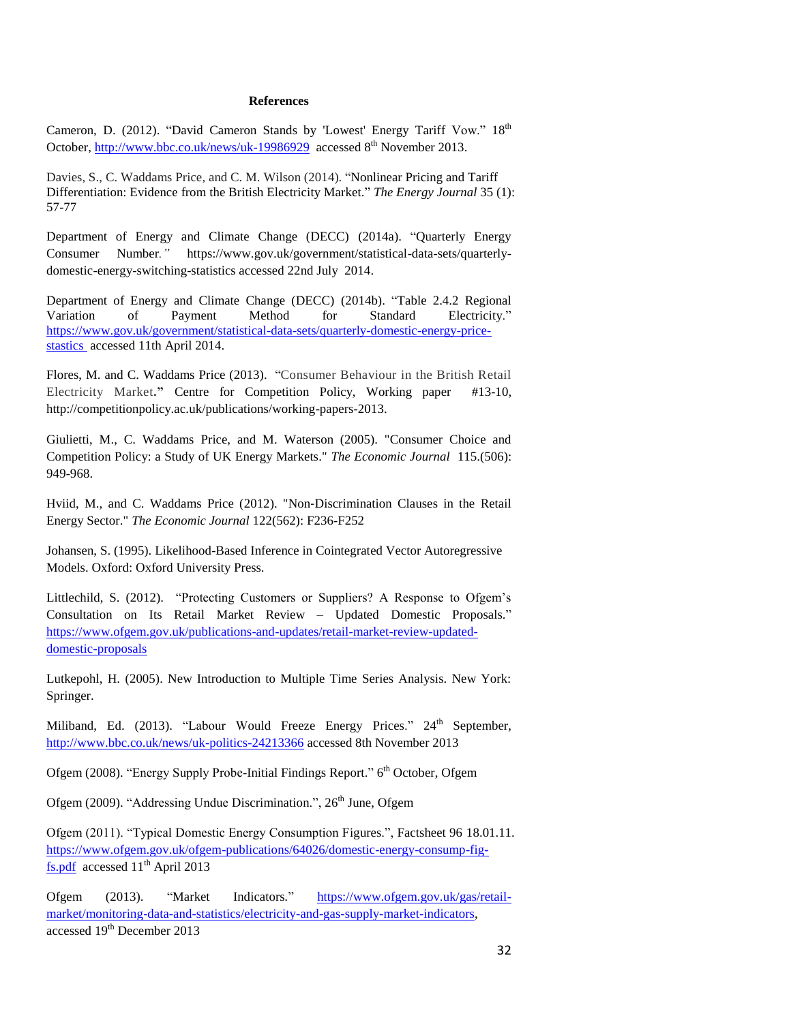#### **References**

Cameron, D. (2012). "David Cameron Stands by 'Lowest' Energy Tariff Vow." 18<sup>th</sup> October,<http://www.bbc.co.uk/news/uk-19986929>accessed 8<sup>th</sup> November 2013.

Davies, S., C. Waddams Price, and C. M. Wilson (2014). "Nonlinear Pricing and Tariff Differentiation: Evidence from the British Electricity Market." *The Energy Journal* 35 (1): 57-77

Department of Energy and Climate Change (DECC) (2014a). "Quarterly Energy Consumer Number*."* https://www.gov.uk/government/statistical-data-sets/quarterlydomestic-energy-switching-statistics accessed 22nd July 2014.

Department of Energy and Climate Change (DECC) (2014b). "Table 2.4.2 Regional Variation of Payment Method for Standard Electricity." [https://www.gov.uk/government/statistical-data-sets/quarterly-domestic-energy-price](https://www.gov.uk/government/statistical-data-sets/quarterly-domestic-energy-price-stastics%20accessed%2011th%20April%202014)[stastics a](https://www.gov.uk/government/statistical-data-sets/quarterly-domestic-energy-price-stastics%20accessed%2011th%20April%202014)ccessed 11th April 2014.

Flores, M. and C. Waddams Price (2013). "Consumer Behaviour in the British Retail Electricity Market**."** Centre for Competition Policy, Working paper #13-10, http://competitionpolicy.ac.uk/publications/working-papers-2013.

Giulietti, M., C. Waddams Price, and M. Waterson (2005). "Consumer Choice and Competition Policy: a Study of UK Energy Markets." *The Economic Journal* 115.(506): 949-968.

Hviid, M., and C. Waddams Price (2012). "Non-Discrimination Clauses in the Retail Energy Sector." *The Economic Journal* 122(562): F236-F252

Johansen, S. (1995). Likelihood-Based Inference in Cointegrated Vector Autoregressive Models. Oxford: Oxford University Press.

Littlechild, S. (2012). "Protecting Customers or Suppliers? A Response to Ofgem's Consultation on Its Retail Market Review – Updated Domestic Proposals." [https://www.ofgem.gov.uk/publications-and-updates/retail-market-review-updated](https://www.ofgem.gov.uk/publications-and-updates/retail-market-review-updated-domestic-proposals)[domestic-proposals](https://www.ofgem.gov.uk/publications-and-updates/retail-market-review-updated-domestic-proposals)

Lutkepohl, H. (2005). New Introduction to Multiple Time Series Analysis. New York: Springer.

Miliband, Ed. (2013). "Labour Would Freeze Energy Prices." 24<sup>th</sup> September, <http://www.bbc.co.uk/news/uk-politics-24213366> accessed 8th November 2013

Ofgem (2008). "Energy Supply Probe-Initial Findings Report." 6<sup>th</sup> October, Ofgem

Ofgem (2009). "Addressing Undue Discrimination.", 26<sup>th</sup> June, Ofgem

Ofgem (2011). "Typical Domestic Energy Consumption Figures.", Factsheet 96 18.01.11. [https://www.ofgem.gov.uk/ofgem-publications/64026/domestic-energy-consump-fig](https://www.ofgem.gov.uk/ofgem-publications/64026/domestic-energy-consump-fig-fs.pdf)[fs.pdf](https://www.ofgem.gov.uk/ofgem-publications/64026/domestic-energy-consump-fig-fs.pdf) accessed  $11<sup>th</sup>$  April 2013

Ofgem (2013). "Market Indicators*.*" [https://www.ofgem.gov.uk/gas/retail](https://www.ofgem.gov.uk/gas/retail-market/monitoring-data-and-statistics/electricity-and-gas-supply-market-indicators)[market/monitoring-data-and-statistics/electricity-and-gas-supply-market-indicators,](https://www.ofgem.gov.uk/gas/retail-market/monitoring-data-and-statistics/electricity-and-gas-supply-market-indicators) accessed 19<sup>th</sup> December 2013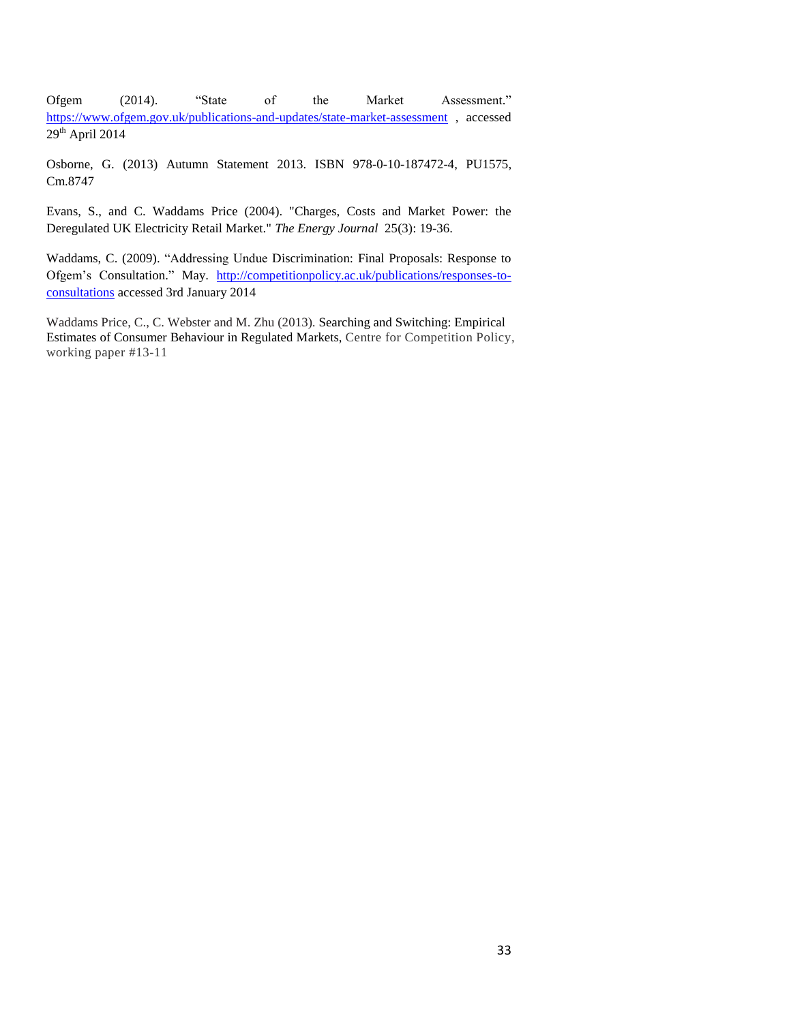Ofgem (2014). "State of the Market Assessment." <https://www.ofgem.gov.uk/publications-and-updates/state-market-assessment> , accessed  $29<sup>th</sup>$  April 2014

Osborne, G. (2013) Autumn Statement 2013. ISBN 978-0-10-187472-4, PU1575, Cm.8747

Evans, S., and C. Waddams Price (2004). "Charges, Costs and Market Power: the Deregulated UK Electricity Retail Market." *The Energy Journal* 25(3): 19-36.

Waddams, C. (2009). "Addressing Undue Discrimination: Final Proposals: Response to Ofgem's Consultation." May. [http://competitionpolicy.ac.uk/publications/responses-to](http://competitionpolicy.ac.uk/publications/responses-to-consultations)[consultations](http://competitionpolicy.ac.uk/publications/responses-to-consultations) accessed 3rd January 2014

Waddams Price, C., C. Webster and M. Zhu (2013)*.* Searching and Switching: Empirical Estimates of Consumer Behaviour in Regulated Markets, Centre for Competition Policy, working paper #13-11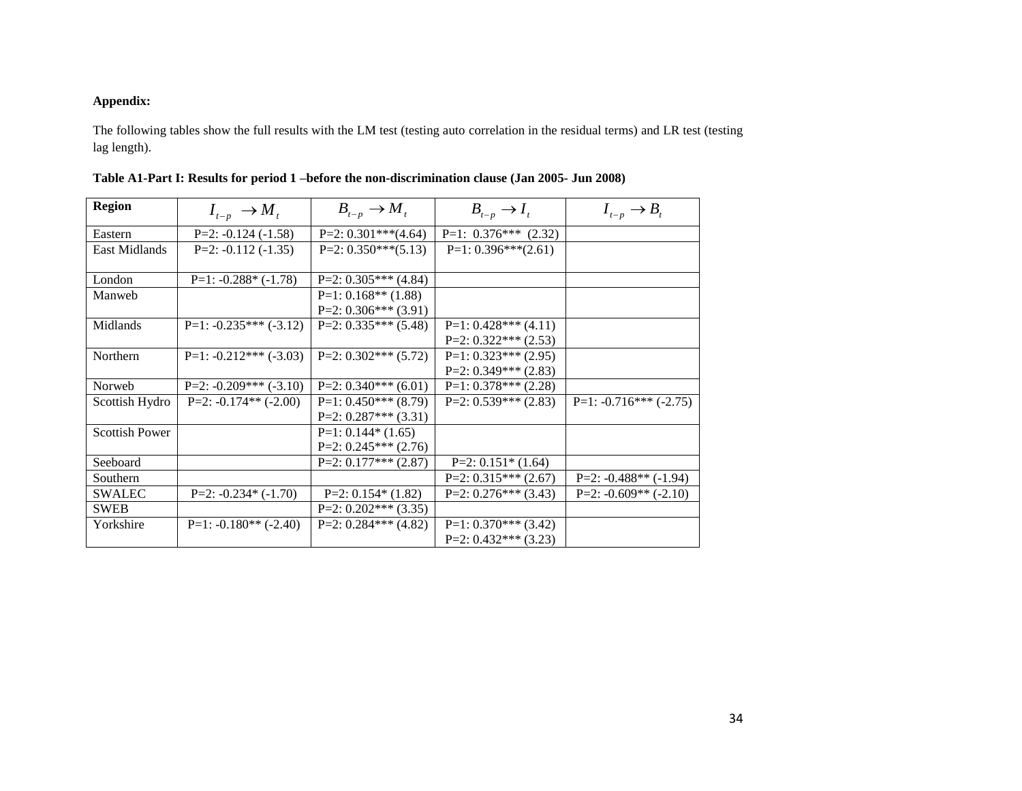# **Appendix:**

The following tables show the full results with the LM test (testing auto correlation in the residual terms) and LR test (testing lag length).

| <b>Region</b>         | $I_{t-n} \rightarrow M_t$      | $B_{t-p} \to M_t$      | $B_{t-p} \to I_t$      | $I_{t-p} \rightarrow B_t$      |
|-----------------------|--------------------------------|------------------------|------------------------|--------------------------------|
| Eastern               | $P=2$ : $-0.124$ ( $-1.58$ )   | P=2: $0.301***(4.64)$  | $P=1: 0.376*** (2.32)$ |                                |
| <b>East Midlands</b>  | $P=2$ : $-0.112$ $(-1.35)$     | $P=2: 0.350***(5.13)$  | $P=1: 0.396***(2.61)$  |                                |
| London                | $P=1: -0.288*(-1.78)$          | $P=2: 0.305***$ (4.84) |                        |                                |
| Manweb                |                                | $P=1: 0.168** (1.88)$  |                        |                                |
|                       |                                | $P=2: 0.306***(3.91)$  |                        |                                |
| Midlands              | $P=1: -0.235*** (-3.12)$       | $P=2: 0.335***(5.48)$  | $P=1: 0.428***(4.11)$  |                                |
|                       |                                |                        | $P=2: 0.322*** (2.53)$ |                                |
| Northern              | $P=1: -0.212*** (-3.03)$       | P=2: $0.302***$ (5.72) | $P=1: 0.323*** (2.95)$ |                                |
|                       |                                |                        | P=2: $0.349***$ (2.83) |                                |
| Norweb                | $P=2$ : $-0.209$ *** (-3.10)   | $P=2: 0.340*** (6.01)$ | $P=1: 0.378*** (2.28)$ |                                |
| Scottish Hydro        | $P=2$ : $-0.174**$ ( $-2.00$ ) | $P=1: 0.450***(8.79)$  | $P=2: 0.539*** (2.83)$ | $P=1: -0.716***(-2.75)$        |
|                       |                                | $P=2: 0.287***(3.31)$  |                        |                                |
| <b>Scottish Power</b> |                                | $P=1: 0.144*(1.65)$    |                        |                                |
|                       |                                | $P=2: 0.245***(2.76)$  |                        |                                |
| Seeboard              |                                | $P=2: 0.177*** (2.87)$ | $P=2: 0.151*(1.64)$    |                                |
| Southern              |                                |                        | P=2: $0.315***$ (2.67) | $P=2$ : $-0.488**$ ( $-1.94$ ) |
| <b>SWALEC</b>         | $P=2$ : $-0.234*$ $(-1.70)$    | P=2: $0.154*(1.82)$    | P=2: $0.276***$ (3.43) | $P=2$ : $-0.609**$ ( $-2.10$ ) |
| <b>SWEB</b>           |                                | P=2: $0.202***$ (3.35) |                        |                                |
| Yorkshire             | $P=1: -0.180** (-2.40)$        | P=2: $0.284***$ (4.82) | $P=1: 0.370***(3.42)$  |                                |
|                       |                                |                        | $P=2: 0.432***(3.23)$  |                                |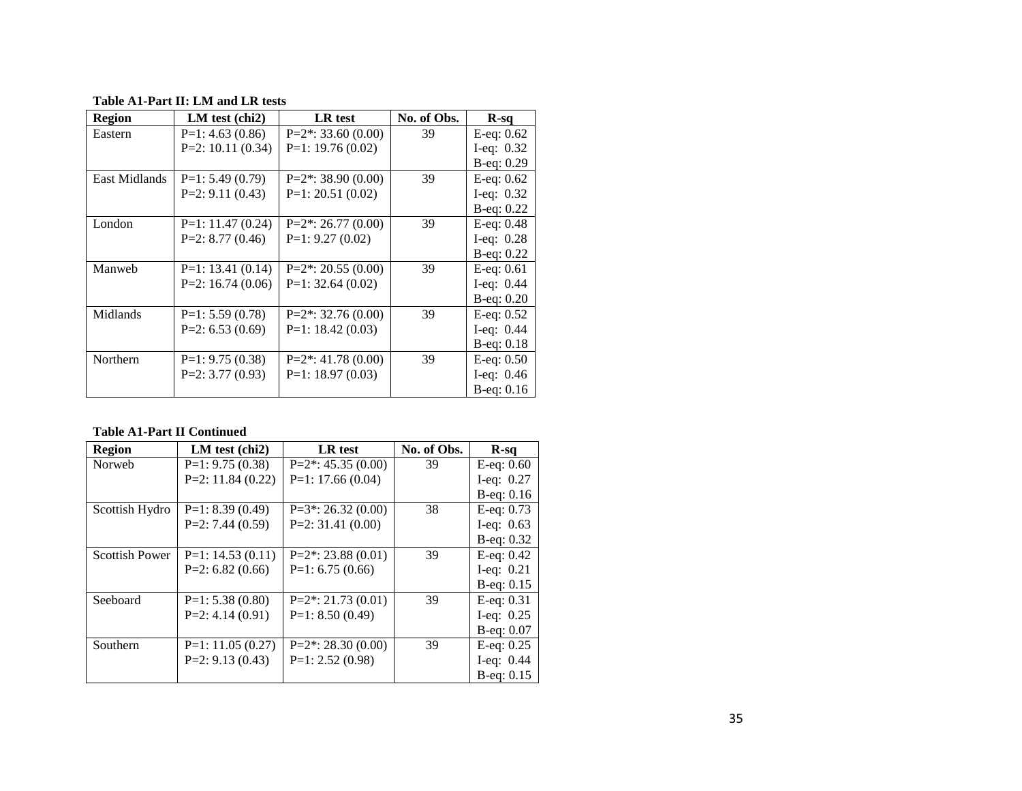#### **Table A1 -Part II: LM and LR tests**

| <b>Region</b>        | $LM$ test (chi <sub>2</sub> ) | LR test               | No. of Obs. | $R-sq$        |
|----------------------|-------------------------------|-----------------------|-------------|---------------|
| Eastern              | $P=1: 4.63(0.86)$             | $P=2$ *: 33.60 (0.00) | 39          | E-eq: $0.62$  |
|                      | $P=2: 10.11(0.34)$            | $P=1: 19.76(0.02)$    |             | I-eq: $0.32$  |
|                      |                               |                       |             | B-eq: 0.29    |
| <b>East Midlands</b> | $P=1: 5.49(0.79)$             | $P=2$ *: 38.90 (0.00) | 39          | E-eq: $0.62$  |
|                      | $P=2: 9.11(0.43)$             | $P=1: 20.51(0.02)$    |             | I-eq: $0.32$  |
|                      |                               |                       |             | B-eq: 0.22    |
| London               | $P=1: 11.47(0.24)$            | $P=2$ *: 26.77 (0.00) | 39          | E-eq: 0.48    |
|                      | $P=2: 8.77(0.46)$             | $P=1: 9.27(0.02)$     |             | I-eq: $0.28$  |
|                      |                               |                       |             | B-eq: 0.22    |
| Manweb               | $P=1: 13.41(0.14)$            | $P=2$ *: 20.55 (0.00) | 39          | $E-eq: 0.61$  |
|                      | P=2: $16.74(0.06)$            | $P=1: 32.64(0.02)$    |             | I-eq: $0.44$  |
|                      |                               |                       |             | B-eq: 0.20    |
| Midlands             | $P=1: 5.59(0.78)$             | $P=2$ *: 32.76 (0.00) | 39          | E-eq: $0.52$  |
|                      | $P=2: 6.53(0.69)$             | $P=1: 18.42(0.03)$    |             | I-eq: $0.44$  |
|                      |                               |                       |             | $B$ -eq: 0.18 |
| Northern             | $P=1: 9.75(0.38)$             | $P=2$ *: 41.78 (0.00) | 39          | E-eq: $0.50$  |
|                      | $P=2: 3.77(0.93)$             | $P=1: 18.97(0.03)$    |             | I-eq: $0.46$  |
|                      |                               |                       |             | $B$ -eq: 0.16 |

## **Table A1 -Part II Continued**

| <b>Region</b>         | $LM$ test (chi <sub>2</sub> ) | LR test               | No. of Obs. | $R-sq$          |
|-----------------------|-------------------------------|-----------------------|-------------|-----------------|
| Norweb                | $P=1: 9.75(0.38)$             | $P=2$ *: 45.35 (0.00) | 39          | $E$ -eq: $0.60$ |
|                       | P=2: $11.84(0.22)$            | $P=1: 17.66(0.04)$    |             | I-eq: $0.27$    |
|                       |                               |                       |             | $B$ -eq: 0.16   |
| Scottish Hydro        | $P=1: 8.39(0.49)$             | $P=3$ *: 26.32 (0.00) | 38          | E-eq: $0.73$    |
|                       | $P=2: 7.44(0.59)$             | $P=2: 31.41(0.00)$    |             | I-eq: $0.63$    |
|                       |                               |                       |             | $B$ -eq: 0.32   |
| <b>Scottish Power</b> | $P=1: 14.53(0.11)$            | $P=2$ *: 23.88 (0.01) | 39          | E-eq: $0.42$    |
|                       | $P=2: 6.82(0.66)$             | $P=1: 6.75(0.66)$     |             | I-eq: $0.21$    |
|                       |                               |                       |             | $B-eq: 0.15$    |
| Seeboard              | $P=1: 5.38(0.80)$             | $P=2$ *: 21.73 (0.01) | 39          | $E-eq: 0.31$    |
|                       | $P=2: 4.14(0.91)$             | $P=1: 8.50(0.49)$     |             | I-eq: $0.25$    |
|                       |                               |                       |             | $B$ -eq: $0.07$ |
| Southern              | $P=1: 11.05(0.27)$            | $P=2$ *: 28.30 (0.00) | 39          | E-eq: $0.25$    |
|                       | $P=2: 9.13(0.43)$             | $P=1: 2.52(0.98)$     |             | I-eq: $0.44$    |
|                       |                               |                       |             | $B-eq: 0.15$    |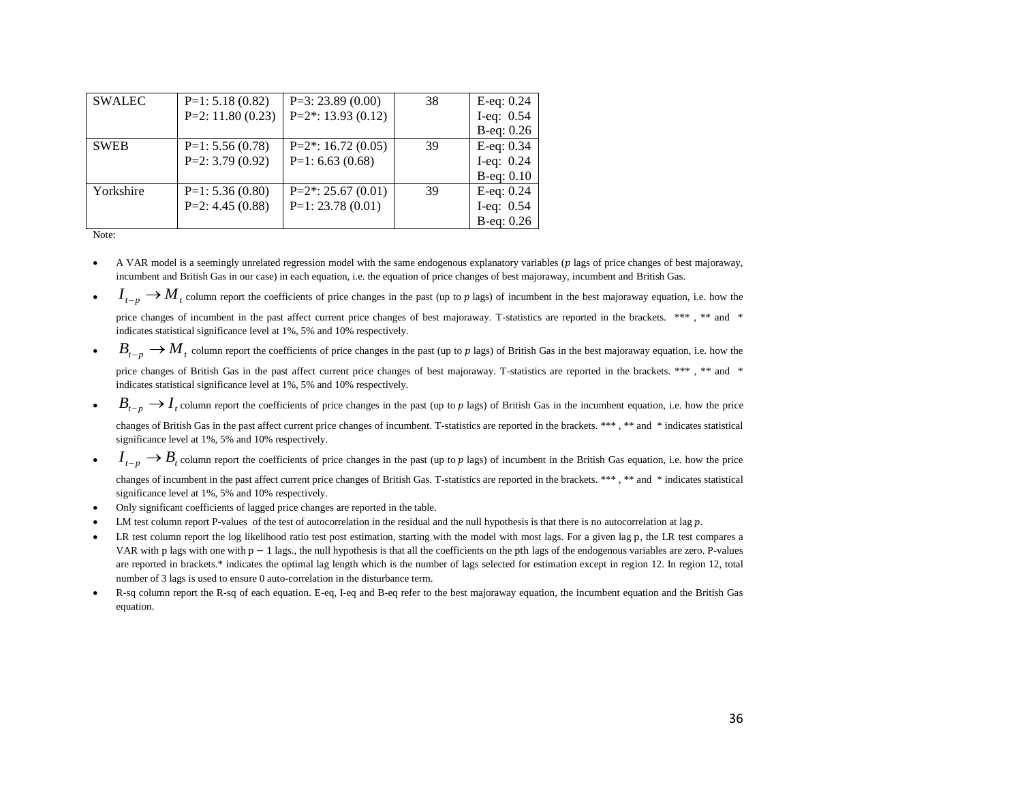| <b>SWALEC</b> | $P=1: 5.18(0.82)$    | $P=3: 23.89(0.00)$    | 38 | E-eq: $0.24$ |
|---------------|----------------------|-----------------------|----|--------------|
|               | $P=2$ : 11.80 (0.23) | $P=2$ *: 13.93 (0.12) |    | I-eq: $0.54$ |
|               |                      |                       |    | B-eq: 0.26   |
| <b>SWEB</b>   | $P=1: 5.56(0.78)$    | $P=2$ *: 16.72 (0.05) | 39 | E-eq: $0.34$ |
|               | $P=2: 3.79(0.92)$    | P=1: 6.63 $(0.68)$    |    | I-eq: $0.24$ |
|               |                      |                       |    | $B-eq: 0.10$ |
| Yorkshire     | $P=1: 5.36(0.80)$    | $P=2$ *: 25.67 (0.01) | 39 | E-eq: $0.24$ |
|               | $P=2: 4.45(0.88)$    | $P=1: 23.78(0.01)$    |    | I-eq: $0.54$ |
|               |                      |                       |    | B-eq: 0.26   |

Note:

- A VAR model is a seemingly unrelated regression model with the same endogenous explanatory variables (p lags of price changes of best majoraway, incumbent and British Gas in our case) in each equation, i.e. the equation of price changes of best majoraway, incumbent and British Gas.
- $I_{t-p} \rightarrow M_t$  column report the coefficients of price changes in the past (up to p lags) of incumbent in the best majoraway equation, i.e. how the

price changes of incumbent in the past affect current price changes of best majoraway. T-statistics are reported in the brackets. \*\*\* , \*\* and \* indicates statistical significance level at 1%, 5% and 10% respectively.

 $B_{t-p} \to M_t$  column report the coefficients of price changes in the past (up to p lags) of British Gas in the best majoraway equation, i.e. how the price changes of British Gas in the past affect current price changes of best majoraway. T-statistics are reported in the brackets. \*\*\* , \*\* and \*

indicates statistical significance level at 1%, 5% and 10% respectively.

 $B_{t-p} \to I_t$  column report the coefficients of price changes in the past (up to p lags) of British Gas in the incumbent equation, i.e. how the price

changes of British Gas in the past affect current price changes of incumbent. T-statistics are reported in the brackets. \*\*\* , \*\* and \* indicates statistical significance level at 1%, 5% and 10% respectively.

- $I_{t-p} \to B_t$  column report the coefficients of price changes in the past (up to p lags) of incumbent in the British Gas equation, i.e. how the price changes of incumbent in the past affect current price changes of British Gas. T-statistics are reported in the brackets. \*\*\* , \*\* and \* indicates statistical significance level at 1%, 5% and 10% respectively.
- Only significant coefficients of lagged price changes are reported in the table.
- LM test column report P-values of the test of autocorrelation in the residual and the null hypothesis is that there is no autocorrelation at lag  $p$ .
- LR test column report the log likelihood ratio test post estimation, starting with the model with most lags. For a given lag p, the LR test compares a VAR with p lags with one with  $p - 1$  lags., the null hypothesis is that all the coefficients on the pth lags of the endogenous variables are zero. P-values are reported in brackets.\* indicates the optimal lag length which is the number of lags selected for estimation except in region 12. In region 12, total number of 3 lags is used to ensure 0 auto-correlation in the disturbance term.
- R-sq column report the R-sq of each equation. E-eq, I-eq and B-eq refer to the best majoraway equation, the incumbent equation and the British Gas equation.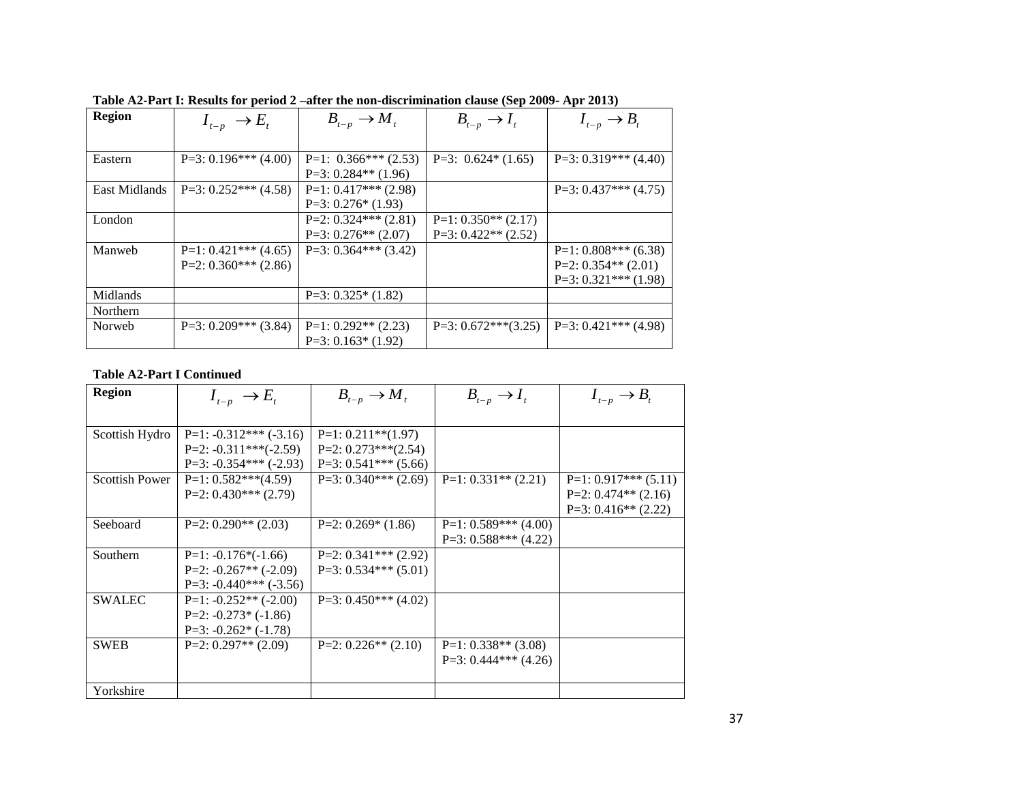| <b>Region</b> | $I_{t-p} \rightarrow E_{t}$ | $B_{t-p} \to M_t$      | $B_{t-p} \to I_t$     | $I_{t-p} \rightarrow B_t$ |
|---------------|-----------------------------|------------------------|-----------------------|---------------------------|
|               |                             |                        |                       |                           |
| Eastern       | $P=3: 0.196***(4.00)$       | $P=1: 0.366***(2.53)$  | P=3: $0.624*(1.65)$   | $P=3: 0.319*** (4.40)$    |
|               |                             | $P=3: 0.284** (1.96)$  |                       |                           |
| East Midlands | $P=3: 0.252***(4.58)$       | $P=1: 0.417*** (2.98)$ |                       | $P=3: 0.437*** (4.75)$    |
|               |                             | $P=3: 0.276*(1.93)$    |                       |                           |
| London        |                             | $P=2: 0.324*** (2.81)$ | $P=1: 0.350** (2.17)$ |                           |
|               |                             | $P=3: 0.276** (2.07)$  | $P=3: 0.422** (2.52)$ |                           |
| Manweb        | $P=1: 0.421*** (4.65)$      | P=3: $0.364***$ (3.42) |                       | $P=1: 0.808*** (6.38)$    |
|               | $P=2: 0.360***(2.86)$       |                        |                       | $P=2: 0.354** (2.01)$     |
|               |                             |                        |                       | $P=3: 0.321***(1.98)$     |
| Midlands      |                             | $P=3: 0.325*(1.82)$    |                       |                           |
| Northern      |                             |                        |                       |                           |
| Norweb        | $P=3: 0.209*** (3.84)$      | P=1: $0.292**$ (2.23)  | $P=3: 0.672***(3.25)$ | $P=3: 0.421*** (4.98)$    |
|               |                             | P=3: $0.163*(1.92)$    |                       |                           |

**Table A2-Part I: Results for period 2 –after the non-discrimination clause (Sep 2009- Apr 2013)**

# **Table A2-Part I Continued**

| <b>Region</b>         | $I_{t-p} \rightarrow E_{t}$      | $B_{t-p} \to M_t$      | $B_{t-p} \to I_t$      | $I_{t-p} \rightarrow B_t$ |
|-----------------------|----------------------------------|------------------------|------------------------|---------------------------|
|                       |                                  |                        |                        |                           |
| Scottish Hydro        | $P=1: -0.312*** (-3.16)$         | $P=1: 0.211**$ (1.97)  |                        |                           |
|                       | $P=2$ : $-0.311***(-2.59)$       | $P=2: 0.273***(2.54)$  |                        |                           |
|                       | $P=3: -0.354*** (-2.93)$         | P=3: $0.541***$ (5.66) |                        |                           |
| <b>Scottish Power</b> | $P=1: 0.582***(4.59)$            | $P=3: 0.340*** (2.69)$ | $P=1: 0.331** (2.21)$  | $P=1: 0.917*** (5.11)$    |
|                       | P=2: $0.430***$ (2.79)           |                        |                        | P=2: $0.474**$ (2.16)     |
|                       |                                  |                        |                        | $P=3: 0.416** (2.22)$     |
| Seeboard              | $P=2: 0.290** (2.03)$            | $P=2: 0.269* (1.86)$   | $P=1: 0.589*** (4.00)$ |                           |
|                       |                                  |                        | $P=3: 0.588*** (4.22)$ |                           |
| Southern              | $P=1: -0.176*(-1.66)$            | $P=2: 0.341*** (2.92)$ |                        |                           |
|                       | $P=2$ : $-0.267**$ ( $-2.09$ )   | $P=3: 0.534*** (5.01)$ |                        |                           |
|                       | $P=3$ : $-0.440$ *** ( $-3.56$ ) |                        |                        |                           |
| <b>SWALEC</b>         | $P=1: -0.252** (-2.00)$          | $P=3: 0.450*** (4.02)$ |                        |                           |
|                       | P=2: $-0.273*$ $(-1.86)$         |                        |                        |                           |
|                       | $P=3: -0.262* (-1.78)$           |                        |                        |                           |
| <b>SWEB</b>           | $P=2: 0.297** (2.09)$            | $P=2: 0.226** (2.10)$  | $P=1: 0.338** (3.08)$  |                           |
|                       |                                  |                        | $P=3: 0.444*** (4.26)$ |                           |
|                       |                                  |                        |                        |                           |
| Yorkshire             |                                  |                        |                        |                           |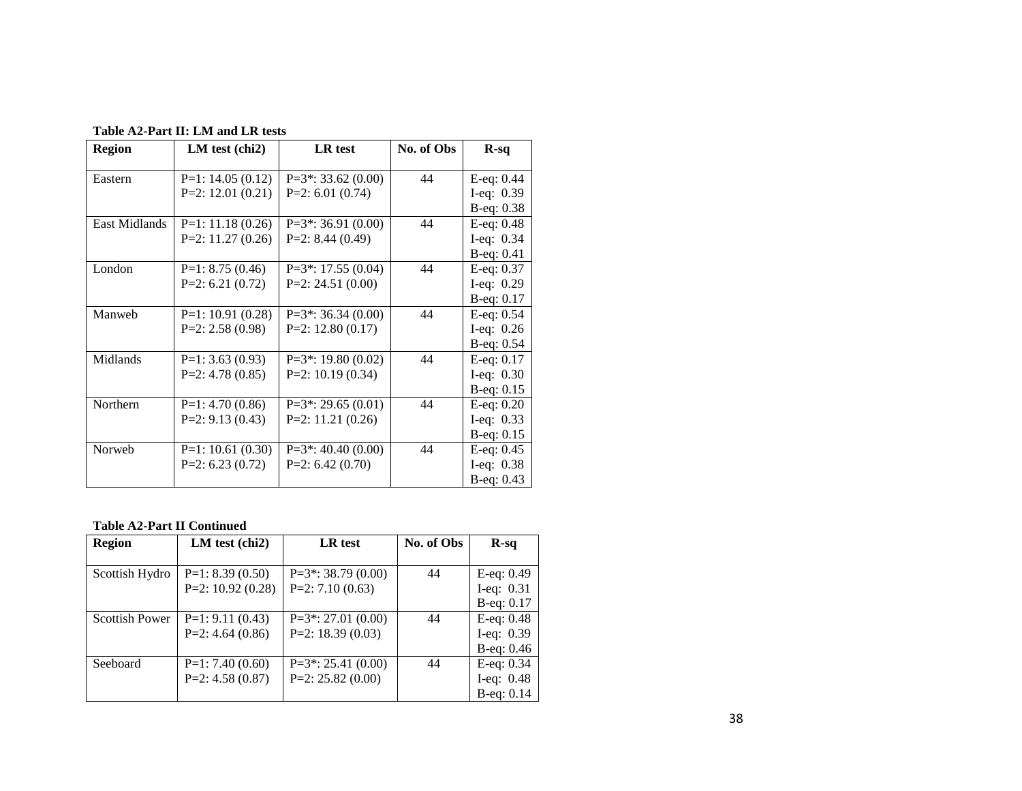| <b>Region</b>        | LM test (chi2)     | <b>LR</b> test        | No. of Obs | $R-sq$       |
|----------------------|--------------------|-----------------------|------------|--------------|
| Eastern              | $P=1: 14.05(0.12)$ | $P=3$ *: 33.62 (0.00) | 44         | E-eq: 0.44   |
|                      | $P=2: 12.01(0.21)$ | P=2: 6.01 $(0.74)$    |            | I-eq: $0.39$ |
|                      |                    |                       |            | B-eq: 0.38   |
| <b>East Midlands</b> | $P=1: 11.18(0.26)$ | $P=3$ *: 36.91 (0.00) | 44         | E-eq: 0.48   |
|                      | $P=2: 11.27(0.26)$ | P=2: $8.44(0.49)$     |            | I-eq: $0.34$ |
|                      |                    |                       |            | $B-eq: 0.41$ |
| London               | $P=1: 8.75(0.46)$  | $P=3$ *: 17.55 (0.04) | 44         | E-eq: 0.37   |
|                      | $P=2: 6.21 (0.72)$ | $P=2: 24.51(0.00)$    |            | I-eq: $0.29$ |
|                      |                    |                       |            | B-eq: 0.17   |
| Manweb               | $P=1: 10.91(0.28)$ | $P=3$ *: 36.34 (0.00) | 44         | $E-eq: 0.54$ |
|                      | $P=2: 2.58(0.98)$  | $P=2: 12.80(0.17)$    |            | I-eq: $0.26$ |
|                      |                    |                       |            | B-eq: 0.54   |
| Midlands             | $P=1: 3.63(0.93)$  | $P=3*$ : 19.80 (0.02) | 44         | $E-eq: 0.17$ |
|                      | $P=2: 4.78(0.85)$  | P=2: 10.19 $(0.34)$   |            | I-eq: $0.30$ |
|                      |                    |                       |            | $B-eq: 0.15$ |
| Northern             | $P=1: 4.70(0.86)$  | $P=3$ *: 29.65 (0.01) | 44         | $E-eq: 0.20$ |
|                      | $P=2: 9.13(0.43)$  | $P=2: 11.21 (0.26)$   |            | I-eq: $0.33$ |
|                      |                    |                       |            | $B-eq: 0.15$ |
| Norweb               | $P=1: 10.61(0.30)$ | $P=3$ *: 40.40 (0.00) | 44         | $E-eq: 0.45$ |
|                      | $P=2: 6.23(0.72)$  | $P=2: 6.42(0.70)$     |            | I-eq: $0.38$ |
|                      |                    |                       |            | B-eq: 0.43   |

# **Table A2-Part II: LM and LR tests**

# **Table A2-Part II Continued**

| <b>Region</b>         | $LM$ test (chi <sub>2</sub> ) | LR test               | No. of Obs | $R-sq$       |
|-----------------------|-------------------------------|-----------------------|------------|--------------|
|                       |                               |                       |            |              |
| Scottish Hydro        | $P=1: 8.39(0.50)$             | $P=3$ *: 38.79 (0.00) | 44         | E-eq: $0.49$ |
|                       | P=2: $10.92(0.28)$            | P=2: 7.10 $(0.63)$    |            | I-eq: $0.31$ |
|                       |                               |                       |            | $B-eq: 0.17$ |
| <b>Scottish Power</b> | $P=1: 9.11(0.43)$             | $P=3$ *: 27.01 (0.00) | 44         | $E-eq: 0.48$ |
|                       | P=2: 4.64 $(0.86)$            | P=2: $18.39(0.03)$    |            | I-eq: $0.39$ |
|                       |                               |                       |            | $B-eq: 0.46$ |
| Seeboard              | $P=1: 7.40(0.60)$             | $P=3$ *: 25.41 (0.00) | 44         | E-eq: $0.34$ |
|                       | $P=2: 4.58(0.87)$             | P=2: $25.82(0.00)$    |            | I-eq: $0.48$ |
|                       |                               |                       |            | B-eq: 0.14   |